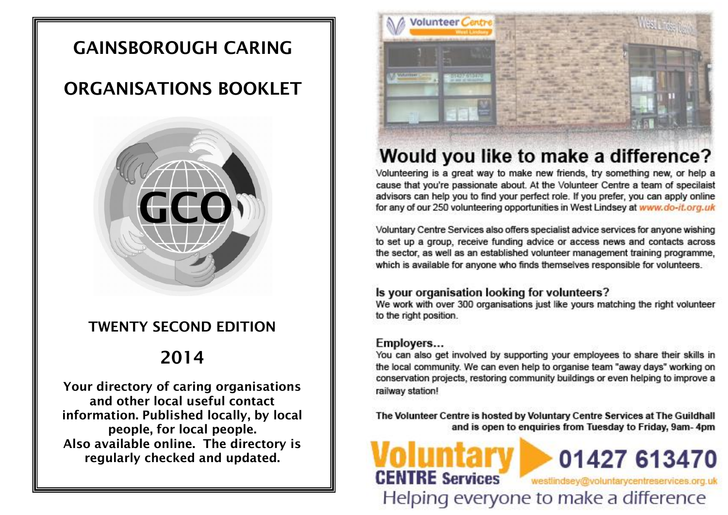# **GAINSBOROUGH CARING**

# **ORGANISATIONS BOOKLET**



# **TWENTY SECOND EDITION**

# **2014**

**Your directory of caring organisations and other local useful contact information. Published locally, by local people, for local people. Also available online. The directory is regularly checked and updated.**



# Would you like to make a difference?

Volunteering is a great way to make new friends, try something new, or help a cause that you're passionate about. At the Volunteer Centre a team of specilaist advisors can help you to find your perfect role. If you prefer, you can apply online for any of our 250 volunteering opportunities in West Lindsey at www.do-it.org.uk

Voluntary Centre Services also offers specialist advice services for anyone wishing to set up a group, receive funding advice or access news and contacts across the sector, as well as an established volunteer management training programme, which is available for anyone who finds themselves responsible for volunteers.

## Is your organisation looking for volunteers?

We work with over 300 organisations just like yours matching the right volunteer to the right position.

## Employers...

**CENTRE Services** 

You can also get involved by supporting your employees to share their skills in the local community. We can even help to organise team "away days" working on conservation projects, restoring community buildings or even helping to improve a railway station!

The Volunteer Centre is hosted by Voluntary Centre Services at The Guildhall and is open to enquiries from Tuesday to Friday, 9am-4pm

Helping everyone to make a difference

01427 613470

westlindsey@voluntarycentreservices.org.uk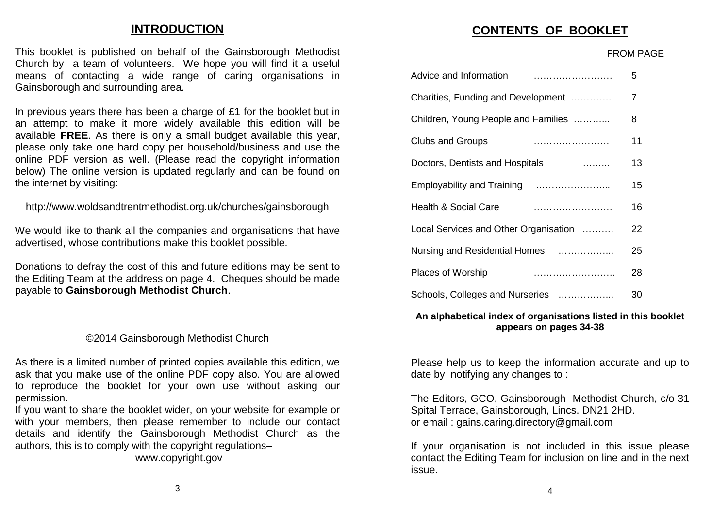# **INTRODUCTION**

This booklet is published on behalf of the Gainsborough Methodist Church by a team of volunteers. We hope you will find it a useful means of contacting a wide range of caring organisations in meaned or comacaing a machialige<br>Gainsborough and surrounding area.  $H$ eling individual surfounding area.

In previous years there has been a charge of £1 for the booklet but in an attempt to make it more widely available this edition will be available **FREE**. As there is only a small budget available this year, available Titual No there to only a officin badget available the year,<br>please only take one hard copy per household/business and use the online PDF version as well. (Please read the copyright information below) The online version is updated regularly and can be found on **PHITTER INTERFERITUAL INC.** The internet by visiting: Hease brift take one hard copy per household/business and use the  $\mathbf{B}$  Hub, Beech House, Waterside South, Lincoln, Lincoln, Lincoln, Lincoln, Lincoln, Lincoln, Lincoln, Lincoln, Lincoln, Lincoln, Lincoln, Lincoln, Lincoln, Lincoln, Lincoln, Lincoln, Lincoln, Lincoln, Lincoln, Lincol

http://www.woldsandtrentmethodist.org.uk/churches/gainsborough  $S_{\text{S}}$  -  $\mu$  www.wordsamatier in Fierroutsit.org. and the disability game borough

We would like to thank all the companies and organisations that have advertised, whose contributions make this booklet possible. (01522) 782172 firstcontact@lincolnshire.gov.uk www.firstcontact.org.uk

Donations to defray the cost of this and future editions may be sent to the Editing Team at the address on page 4. Cheques should be made payable to **Gainsborough Methodist Church**.  $\frac{1}{2}$  for sering the cost of this and induce equivity in the series. Getting the series of the independent in the series of the series of the series of the series of the series of the series of the series of the serie

#### ©2014 Gainsborough Methodist Church  $(0.5076666664)$ GZ014 Gainsborough

As there is a limited number of printed copies available this edition, we ask that you make use of the online PDF copy also. You are allowed able and you make about and or and the copy about the and anomous permission. with the constant of the constant of the constant of the constant of the constant of the constant of the constant of the constant of the constant of the constant of the constant of the constant of the constant of the const Handy Person Co-ordinator contact Donna Kent - dkent@lincshia.org

If you want to share the booklet wider, on your website for example or with your members, then please remember to include our contact details and identify the Gainsborough Methodist Church as the authors, this is to comply with the copyright regulations–

www.copyright.gov

#### **RELATED THE CONTENTS OF BOOKLET**

#### FROM PAGE

| Advice and Information                | 5  |
|---------------------------------------|----|
| Charities, Funding and Development    | 7  |
| Children, Young People and Families   | 8  |
| <b>Clubs and Groups</b>               | 11 |
| Doctors, Dentists and Hospitals       | 13 |
|                                       | 15 |
| <b>Health &amp; Social Care</b>       | 16 |
| Local Services and Other Organisation | 22 |
| Nursing and Residential Homes         | 25 |
| Places of Worship                     | 28 |
| Schools, Colleges and Nurseries       | 30 |

**VICTIM SUPPORT (LINCOLNSHIRE)**

#### An alphabetical index of organisations listed in this booklet We offer practical and emotional support to victims of crime and support witnesses **appears on pages 34-38** attending criminal courts.

Please help us to keep the information accurate and up to date by notifying any changes to : 30 - 1:30 - 1:30 - 1:30 - 1:30 - 1:30 - 1:30 - 1:30 - 1:30 - 1:30 - 1:30 - 1:30 - 1:30 - 1:30 - 1:30 - 1:30 - 1:30 - 1:30 - 1:30 - 1:30 - 1:30 - 1:30 - 1:30 - 1:30 - 1:30 - 1:30 - 1:30 and  $\overline{a}$  9:00  $\overline{a}$ 

The Editors  $CCA$  Caireberg who Mothediat Church  $24$ The Editors, GCO, Gainsborough Methodist Church, c/o 31 Spital Terrace, Gainsborough, Lincs. DN21 2HD. or email : gains.caring.directory@gmail.com

If your organisation is not included in this issue please contact the Editing Team for inclusion on line and in the next issue.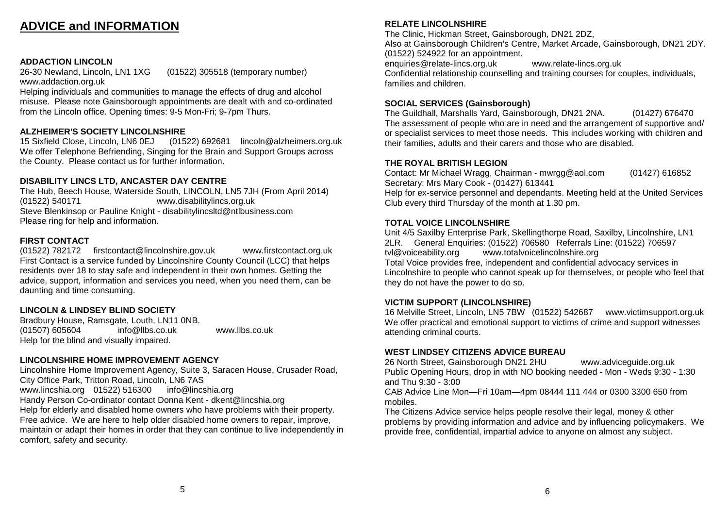# **ADVICE and INFORMATION INTRODUCTION**

**ADDACTION LINCOLN**<br>26-30 Newland, Lincoln, LN1 1XG 26-30 Newland, Lincoln, LN1 1XG (01522) 305518 (temporary number) www.addaction.org.uk ADDACTION LINCOLN<br>20.00 New hope to the voluntary contract of volunteers. We have a useful final service of the voluntary contract of zo-Sundwigital Christian and the range of contactions in the range of contactions in the range of carena in the r<br>The range of caring organisations in the range of carena in the range of carena in the range of carena in th

www.addaction.org.aktorum.com/witterstof-manage the effects of drug and alcohol<br>Helping individuals and communities to manage the effects of drug and alcohol misuse. Please note Gainsborough appointments are dealt with and co-ordinated from the Lincoln office. Opening times: 9-5 Mon-Fri; 9-7pm Thurs.

#### **ALZHEIMER'S SOCIETY LINCOLNSHIRE**  $\overline{a}$

ALZHEIMER 3 SOCIETT LINCOLNSHIKE<br>15 Sixfield Close, Lincoln, LN6 0EJ (01522) 692681 lincoln@alzheimers.org.uk We offer Telephone Befriending, Singing for the Brain and Support Groups across the County. Please contact us for further information.

## **DISABILITY LINCS LTD, ANCASTER DAY CENTRE**

The Hub, Beech House, Waterside South, LINCOLN, LN5 7JH (From April 2014) (01522) 540171 www.disabilitylincs.org.uk www.woldsam.ymolo.org.uk<br>Steve Blenkinsop or Pauline Knight - disabilitylincsltd@ntlbusiness.com Please ring for help and information.

#### **FIRST CONTACT**

(01522) 782172 firstcontact@lincolnshire.gov.uk www.firstcontact.org.uk First Contact is a service funded by Lincolnshire County Council (LCC) that helps residents over 18 to stay safe and independent in their own homes. Getting the advice, support, information and services you need, when you need them, can be daunting and time consuming. FIRST CONTACT<br>(84588) 788478 contributions make this booklet possible.

#### **LINCOLN & LINDSEY BLIND SOCIETY**

Bradbury House, Ramsgate, Louth, LN11 0NB.  $(01507)$  605604 info@llbs.co.uk Help for the blind and visually impaired.

## **LINCOLNSHIRE HOME IMPROVEMENT AGENCY**

Lincolnshire Home Improvement Agency, Suite 3, Saracen House, Crusader Road,<br>City Office Park, Tritton Poad, Lincoln, LN6.7AS City Office Park, Tritton Road, Lincoln, LN6 7AS ony office Fant, Theori Read, Elitebrit, Elvertrie<br>www.lincshia.org 01522) 516300 info@lincshia.org Handy Person Co-ordinator contact Donna Kent - dkent@lincshia.org Help for elderly and disabled home owners who have problems with their property. Free advice. We are here to help older disabled home owners to repair, improve, maintain or adapt their homes in order that they can continue to live independently in<br>comfort, orfoty and coourity comfort, safety and security.  $\alpha$ uthors, barbiy and boodiny.

#### **RELATE LINCOLNSHIRE**

**CONTENTS OF BOOKLET** The Clinic, Hickman Street, Gainsborough, DN21 2DZ, Also at Gainsborough Children's Centre, Market Arcade, Gainsborough, DN21 2DY. (01522) 524922 for an appointment.

Confidential relationship counselling and training courses for couples, individuals,<br>, ... enquiries@relate-lincs.org.uk www.relate-lincs.org.uk families and children.

# **SOCIAL SERVICES (Gainsborough)**

The Sunahally materially rate, Salits Screegh, Strategie, and The assessment of people who are in need and the arrangement of supportive and/ their families, adults and their carers and those who are disabled. The Guildhall, Marshalls Yard, Gainsborough, DN21 2NA. (01427) 676470 or specialist services to meet those needs. This includes working with children and

#### Doctors, Dentists and Hospitals ……... 13 **THE ROYAL BRITISH LEGION**

Employability and Training …………………... 15 Secretary: Mrs Mary Cook - (01427) 613441 Contact: Mr Michael Wragg, Chairman - mwrgg@aol.com (01427) 616852

Club every third Thursday of the month at 1.30 pm. Help for ex-service personnel and dependants. Meeting held at the United Services

#### **TOTAL VOICE LINCOLNSHIRE**

. Unit 4/5 Saxilby Enterprise Park, Skellingthorpe Road, Saxilby, Lincolnshire, LN1 Nursing and Residential Homes ……………... 25 tvl@voiceability.org www.totalvoicelincolnshire.org Lincolnshire to people who cannot speak up for themselves, or people who feel that 2LR. General Enquiries: (01522) 706580 Referrals Line: (01522) 706597 Total Voice provides free, independent and confidential advocacy services in they do not have the power to do so.

#### $\mathbf{S}$  suppose and  $\mathbf{S}$  and  $\mathbf{S}$  and  $\mathbf{S}$ **VICTIM SUPPORT (LINCOLNSHIRE)**

An albert, Lincom, Live *T* DVV (UTJZZ) 042007 – WWW.Victimsupport.org.uk<br>Interaction and emetional europert to victime of orime and europert witnessee We offer practical and emotional support to victims of crime and support witnesses<br>attending criminal courts 16 Melville Street, Lincoln, LN5 7BW (01522) 542687 www.victimsupport.org.uk attending criminal courts.

#### **WEST LINDSEY CITIZENS ADVICE BUREAU**

26 North Street, Gainsborough DN21 2HU www.adviceguide.org.uk Public Opening Hours, drop in with NO booking needed - Mon - Weds 9:30 - 1:30<br>... . <del>T</del>L - 2.22 - 2.28 and Thu 9:30 - 3:00

CAB Advice Line Mon—Fri 10am—4pm 08444 111 444 or 0300 3300 650 from<br>mobiles. mobiles.

The Citizens Advice service helps people resolve their legal, money & other problems by providing information and advice and by influencing policymakers. We provide free, confidential, impartial advice to anyone on almost any subject.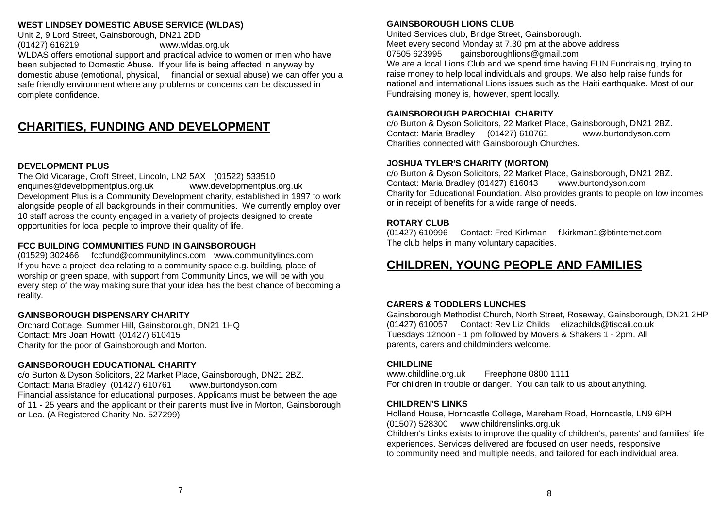#### WEST LINDSEY DOMESTIC ABUSE SERVICE (WLDAS)

Unit 2, 9 Lord Street, Gainsborough, DN21 2DD (01427) 616219 www.wldas.org.uk Contact : Lisa Pinkney gapaltd@outlook.com www.gapa.btik.com WLDAS offers emotional support and practical advice to women or men who have been subjected to Domestic Abuse. If your life is being affected in anyway by domestic abuse (emotional, physical, financial or sexual abuse) we can offer you a safe friendly environment where any problems or concerns can be discussed in complete confidence.

#### CHARITIES, FUNDING AND DEVELOPMENT Hemswell Cliff – (01427) 667643 Sturton by Stow – (01427) 788971

#### **DEVELOPMENT PLUS**

The Old Vicarage, Croft Street, Lincoln, LN2 5AX (01522) 533510 enquiries@developmentplus.org.uk www.developmentplus.org.uk Development Plus is a Community Development charity, established in 1997 to work alongside people of all backgrounds in their communities. We currently employ over 10 staff across the county engaged in a variety of projects designed to create opportunities for local people to improve their quality of life.

#### **FCC BUILDING COMMUNITIES FUND IN GAINSBOROUGH**

(01529) 302466 fccfund@communitylincs.com www.communitylincs.com If you have a project idea relating to a community space e.g. building, place of worship or green space, with support from Community Lincs, we will be with you every step of the way making sure that your idea has the best chance of becoming a reality.  $\mathsf{reality}$  from  $\mathcal{S}$  and  $\mathcal{S}$  $B_{\rm 3C}$  Scouts and Explorer Scouts and Explorer Scouts and Explorer Scouts.

#### **GAINSBOROUGH DISPENSARY CHARITY**

Orchard Cottage, Summer Hill, Gainsborough, DN21 1HQ Contact: Mrs Joan Howitt  $(01427)$  610415 Charity for the poor of Gainsborough and Morton.

#### **GAINSBOROUGH EDUCATIONAL CHARITY**

c/o Burton & Dyson Solicitors, 22 Market Place, Gainsborough, DN21 2BZ. Contact: Maria Bradley (01427) 610761 www.burtondyson.com Financial assistance for educational purposes. Applicants must be between the age of 11 - 25 years and the applicant or their parents must live in Morton, Gainsborough or Lea. (A Registered Charity-No. 527299)  $\mathcal{S}$  Scouts and Explorer Scouts and Explorer Scouts and Explorer Scouts and Explorer Scouts.

#### **GAINSBOROUGH LIONS CLUB**

United Services club, Bridge Street, Gainsborough.

Meet every second Monday at 7.30 pm at the above address 07505 623995 gainsboroughlions@gmail.com

We are a local Lions Club and we spend time having FUN Fundraising, trying to raise money to help local individuals and groups. We also help raise funds for Fundraising money is, however, spent locally. national and international Lions issues such as the Haiti earthquake. Most of our

#### For details of Rainbow, Brownie, Guide and Ranger units in the area please ring Gill. **GAINSBOROUGH PAROCHIAL CHARITY**

Contact: Maria Bradley (01427) 610761 www.burtondyson.com Charities connected with Gainsborough Churches. c/o Burton & Dyson Solicitors, 22 Market Place, Gainsborough, DN21 2BZ.

#### **JOSHUA TYLER'S CHARITY (MORTON)**

c/o Burton & Dyson Solicitors, 22 Market Place, Gainsborough, DN21 2BZ. Charity for Educational Foundation. Also provides grants to people on low incomes or in receipt of benefits for a wide range of needs. Contact: Maria Bradley (01427) 616043 www.burtondyson.com

#### **ROTARY CLUB**

(01427) 610996 Contact: Fred Kirkman f.kirkman1@btinternet.com The club helps in many voluntary capacities.

#### CHII DREN YOUNG PEOPLE AND FAMILIES Marshalls Sports Hall, Middlefield Lane, Gainsborough, DN21 1XR. Activities and **CHILDREN, YOUNG PEOPLE AND FAMILIES**

#### **CARERS & TODDLERS LUNCHES**

Gainsborough Methodist Church, North Street, Roseway, Gainsborough, DN21 2HP (01427) 610057 Contact: Rev Liz Childs elizachilds@tiscali.co.uk Tuesdays 12noon - 1 pm followed by Movers & Shakers 1 - 2pm. All parents, carers and childminders welcome.<br>
parents, carers and childminders welcome. and care  $\alpha$  and the professionals who support the professionals who support the professionals who support them.

#### **CHILDLINE**

www.childline.org.uk For children in trouble or danger. You can talk to us about anything. help was presented with which we have a set of the set of the set of the set of the set of the set of the set o Freephone 0800 1111

#### **CHILDREN'S LINKS**

Holland House, Horncastle College, Mareham Road, Horncastle, LN9 6PH (01507) 528300 www.childrenslinks.org.uk Children's Links exists to improve the quality of children's, parents' and families' life

experiences. Services delivered are focused on user needs, responsive to community need and multiple needs, and tailored for each individual area.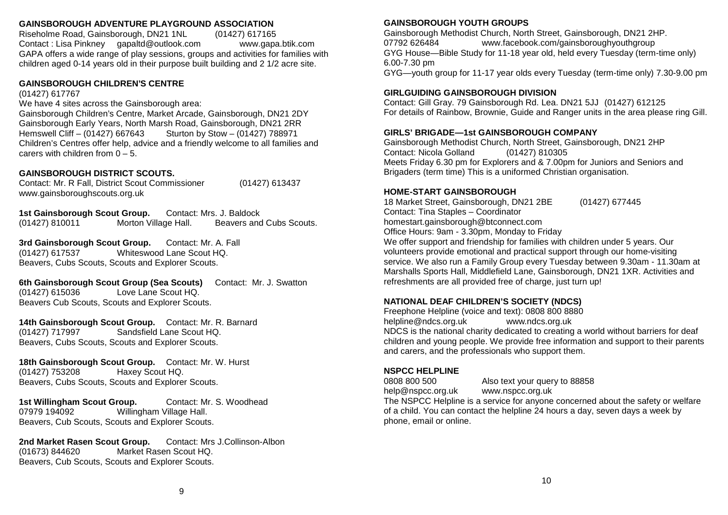#### **GAINSBOROUGH ADVENTURE PLAYGROUND ASSOCIATION**

Riseholme Road, Gainsborough, DN21 1NL (01427) 617165 Contact : Lisa Pinkney gapaltd@outlook.com www.gapa.btik.com GAPA offers a wide range of play sessions, groups and activities for families with children aged 0-14 years old in their purpose built building and 2 1/2 acre site.

#### **GAINSBOROUGH CHILDREN'S CENTRE**

(01427) 617767

#### We have 4 sites across the Gainsborough area:

Gainsborough Children's Centre, Market Arcade, Gainsborough, DN21 2DY Gainsborough Early Years, North Marsh Road, Gainsborough, DN21 2RR<br>Hemswell Cliff – (01427) 667643 Sturton by Stow – (01427) 788971 Hemswell Cliff – (01427) 667643 Sturton by Stow – (01427) 788971 Children's Centres offer help, advice and a friendly welcome to all families and carers with children from  $0 - 5$ .

#### **GAINSBOROUGH DISTRICT SCOUTS. DEVELOPMENT PROPERTY**

Contact: Mr. R Fall, District Scout Commissioner (01427) 613437 www.gainsboroughscouts.org.uk THE OLD VICARAGE, CROSS STREET, CROSS STREET, LINCOLN, LANGUAGE, LANGUAGE, LANGUAGE, LANGUAGE, LANGUAGE, LANGU Contact:  $m_i$  K Pali, District Scout Commissioner (0.1427) 0.13437

**1st Gainsborough Scout Group.** Contact: Mrs. J. Baldock (01427) 810011 Morton Village Hall. Beavers and Cubs Scouts.  $\alpha$  along of all backgrounds in the communities. We compute the community employ over  $\alpha$  $181$  statish of our county engaged in a variety of projects designed to county  $\frac{1}{2}$ Morton Village Hall.

**3rd Gainsborough Scout Group.** Contact: Mr. A. Fall (01427) 617537 Whiteswood Lane Scout HQ. **FCC BUILDING COMMUNITIES FUND IN GAINSBOROUGH** Beavers, Cubs Scouts, Scouts and Explorer Scouts.  $(0.1427)$   $0.17337$  will eswood Larie Scoul HQ.  $Beaves$ , Cubs Scouts, Scouts and Explorer Scouts.

**6th Gainsborough Scout Group (Sea Scouts)** Contact: Mr. J. Swatton Love Lane Scout HQ Beavers Cub Scouts, Scouts and Explorer Scouts.  $\omega$  and the space, with support from Community Lincs, we will be with  $\omega$  with  $\omega$  $\frac{1}{2}$  of the wave making sure that  $\frac{1}{2}$  of best chance of becomes the best chance of becomes  $\frac{1}{2}$  of becomes  $\frac{1}{2}$  of becomes  $\frac{1}{2}$  of becomes  $\frac{1}{2}$  of becomes  $\frac{1}{2}$  or becomes  $\frac{1}{2}$  or b (01427) 615036

**14th Gainsborough Scout Group.** Contact: Mr. R. Barnard (01427) 717997 Sandsfield Lane Scout HQ. Beavers, Cubs Scouts, Scouts and Explorer Scouts.  $\frac{14}{}$  Containsborough Scout Group. Contact. Mr. R. Barnard  $\frac{101427}{211337}$  Sanushelu Lane Scoul Ho Beavers, Gubs Scouts, Scouts and Explorer Scouts.

**18th Gainsborough Scout Group.** Contact: Mr. W. Hurst (01427) 753208 Haxey Scout HQ. Beavers, Cubs Scouts, Scouts and Explorer Scouts.  $(01421)$   $133200$  Diaxey Scoul HQ. Beavers, Cubs Scouts, Scouts and Explorer Scouts.

**1st Willingham Scout Group.** Contact: Mr. S. Woodhead 07979 194092 Willingham Village Hall. Beavers, Cub Scouts, Scouts and Explorer Scouts.  $\mathbf{F}$  assistance for each purpose  $\mathbf{F}$  assistance between the age between the age between the age between the age of age between the age of age between the age of age of age of age of age of age of age of age of ag **IST WILLINGTON SCOUT GROUP.** CONTRACT: MIT. S. WOODNERG or Britannie Charles Charles Charles Charles Charles Charles Charles Charles Charles Charles Charles Charles C

**2nd Market Rasen Scout Group.** Contact: Mrs J.Collinson-Albon (01673) 844620 Market Rasen Scout HQ. Beavers, Cub Scouts, Scouts and Explorer Scouts.

#### **GAINSBOROUGH YOUTH GROUPS**

Gainsborough Methodist Church, North Street, Gainsborough, DN21 2HP. 07792 626484 www.facebook.com/gainsboroughyouthgroup GYG House—Bible Study for 11-18 year old, held every Tuesday (term-time only)  $3.00$ - $\ell$ .30 pm see spend time having Fundraising, trying  $5.00$ - $\ell$ .30 pm see spend to trying to trying to trying to trying to trying to trying to trying to trying to trying to trying to trying to trying to trying to GYG—youth group for 11-17 year olds every Tuesday (term-time only) 7.30-9.00 pm 6.00-7.30 pm

#### **GIRLGUIDING GAINSBOROUGH DIVISION**

For details of Rainbow, Brownie, Guide and Ranger units in the area please ring Gill. Contact: Gill Gray. 79 Gainsborough Rd. Lea. DN21 5JJ (01427) 612125

#### GIRLS' BRIGADE—1st GAINSBOROUGH COMPANY

Gainsborough Methodist Church, North Street, Gainsborough, DN21 2HP Meets Friday 6.30 pm for Explorers and & 7.00pm for Juniors and Seniors and Brigaders (term time) This is a uniformed Christian organisation. Contact: Nicola Golland (01427) 810305

#### Charity for Educational Foundation. Also provides grants to people on low incomes **HOME-START GAINSBOROUGH**

18 Market Street, Gainsborough, DN21 2BE (01427) 677445 **ROTARY CLUB** homestart.gainsborough@btconnect.com Office Hours: 9am - 3.30pm, Monday to Friday We offer support and friendship for families with children under 5 years. Our service. We also run a Family Group every Tuesday between 9.30am - 11.30am at<br>Marshalls Sports Hall, Middlefield Lane, Gainsborough, DN21.1XR, Activities and Contact: Tina Staples – Coordinator volunteers provide emotional and practical support through our home-visiting Marshalls Sports Hall, Middlefield Lane, Gainsborough, DN21 1XR. Activities and

## **NATIONAL DEAF CHILDREN'S SOCIETY (NDCS)**<br>Executive and the first section of 2000,000,0000

refreshments are all provided free of charge, just turn up!

Freephone Helpline (voice and text): 0808 800 8880<br>Little Connection leipine@nacs.org.uk<br>JPOO: the celised desired believed to continue and the theories from NDCS is the national charity dedicated to creating a world without barriers for deaf children and young people. We provide free information and support to their parents helpline@ndcs.org.uk www.ndcs.org.uk and carers, and the professionals who support them.

#### **CHALL**INE WOPUU MELPLINE.<br>2000 000 500 **NSPCC HELPLINE**

 $\begin{array}{lll} 0808 & 800 & 500 \\ - & \end{array}$  Also text your query to 88858 help@nspcc.org.uk www.nspcc.org.uk

**CHILDREN'S CHILDREN'S CHILDREN'S CHILDREN'S CHILDREN'S CHILDREN'S CHILDREN'S CHILDREN'S CHILDREN'S CHILDREN'S** of a child. You can contact the helpline 24 hours a day, seven days a week by phone, email or online. The NSPCC Helpline is a service for anyone concerned about the safety or welfare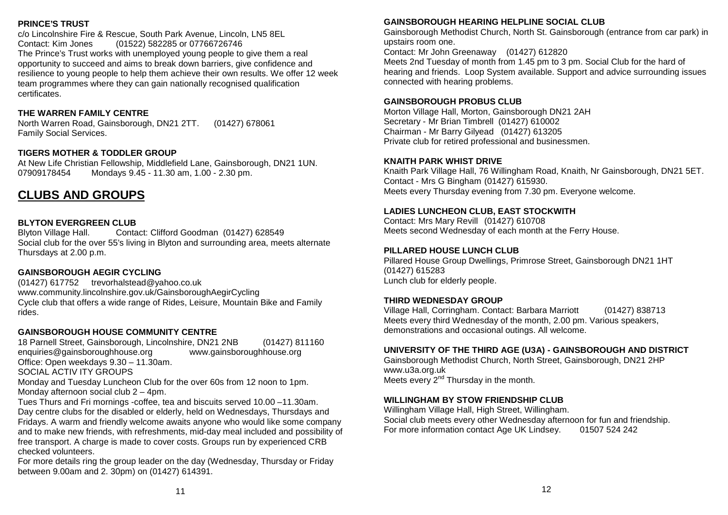#### **PRINCE'S TRUST**

PRINCE'S TRUST<br>c/o Lincolnshire Fire & Rescue, South Park Avenue, Lincoln, LN5 8EL Contact: Kim Jones (01522) 582285 or 07766726746 The Prince's Trust works with unemployed young people to give them a real opportunity to succeed and aims to break down barriers, give confidence and opportunity to succeed and alms to break down barriers, give connuence and resilience to young people to help them achieve their own results. We offer 12 week team programmes where they can gain nationally recognised qualification<br>certificates certificates. Elswitha Hall, 3 Castleborough, 3 Castleborough, DN21 2DJ.

# THE WARREN FAMILY CENTRE

North Warren Road, Gainsborough, DN21 2TT. (01427) 678061 Family Social Services. Vanny Obolan Dorvlood.

# **TIGERS MOTHER & TODDLER GROUP**

At New Life Christian Fellowship, Middlefield Lane, Gainsborough, DN21 1UN. 1.1000 Emp. embanda 1.1 Showburg, Middlehold Editor, Stanboordagn, 07909178454 Mondays 9.45 - 11.30 am, 1.00 - 2.30 pm.  $\frac{1}{2}$  Dresselva Drive, Gainsborough, December 201395111.

# **CLUBS AND GROUPS Dentists**

#### **BLYTON EVERGREEN CLUB**

Blyton Village Hall. Contact: Clifford Goodman (01427) 628549 Social club for the over 55's living in Blyton and surrounding area, meets alternate Thursdays at 2.00 p.m. **SERVICES** 

## **GAINSBOROUGH AEGIR CYCLING**

(01427) 617752 trevorhalstead@yahoo.co.uk www.community.lincolnshire.gov.uk/GainsboroughAegirCycling Cycle club that offers a wide range of Rides, Leisure, Mountain Bike and Family rides.  $\overline{\text{m}}$ 

## **GAINSBOROUGH HOUSE COMMUNITY CENTRE**

18 Parnell Street, Gainsborough, Lincolnshire, DN21 2NB (01427) 811160 enquiries@gainsboroughhouse.org www.gainsboroughhouse.org Office: Open weekdays  $9.30 - 11.30$ am. SOCIAL ACTIV ITY GROUPS AND LOCAL WAS SOCIALED FOR A SAMPLE OF THE SOCIAL ACTIV ITY GROUPS

Monday and Tuesday Luncheon Club for the over 60s from 12 noon to 1pm. Monday afternoon social club 2 - 4pm.

Tues Thurs and Fri mornings -coffee, tea and biscuits served 10.00 -11.30am. Day centre clubs for the disabled or elderly, held on Wednesdays, Thursdays and Fridays. A warm and friendly welcome awaits anyone who would like some company and to make new friends, with refreshments, mid-day meal included and possibility of free transport. A charge is made to cover costs. Groups run by experienced CRB checked volunteers.

For more details ring the group leader on the day (Wednesday, Thursday or Friday between 9.00am and 2. 30pm) on (01427) 614391.

## **GAINSBOROUGH HEARING HELPLINE SOCIAL CLUB**

**Hospitals** Gainsborough Methodist Church, North St. Gainsborough (entrance from car park) in upstairs room one.

Contact: Mr John Greenaway (01427) 612820

Meets 2nd Tuesday of month from 1.45 pm to 3 pm. Social Club for the hard of meeting and friends. Loop System available. Support and advice surrounding issues **JOHN COUPLAND HOSPITAL (NHS Property Services Ltd)** connected with hearing problems.

## **GAINSBOROUGH PROBUS CLUB**

Morton Village Hall, Morton, Gainsborough DN21 2AH Secretary - Mr Brian Timbrell (01427) 610002 Audiology Clinic at JCH, Lincoln (01522) 573254- Every Wednesday 1.30 – 3 pm by Chairman - Mr Barry Gilyead (01427) 613205 Private club for retired professional and businessmen.

## **KNAITH PARK WHIST DRIVE**

Knaith Park Village Hall, 76 Willingham Road, Knaith, Nr Gainsborough, DN21 5ET. Contact - Mrs G Bingham (01427) 615930. **NHS DIRECT (also see NHS 110 below) Directly** directly plan to Meets every Thursday evening from 7.30 pm. Everyone welcome.

## **LADIES LUNCHEON CLUB, EAST STOCKWITH**

NHS Direct's national 0845 4647 service will shortly be decommissioned, and will be Contact: Mrs Mary Revill (01427) 610708 **Permission by the local local commissioned Neets second Wednesday of each month at the Ferry House.** 

## **PILLARED HOUSE LUNCH CLUB**

Pillared House Group Dwellings, Primrose Street, Gainsborough DN21 1HT ne service service service that makes it easiers it is easier for your to access local health in the control of the service of the service of the service of the service of the service of the service of the service of the s Lunch club for elderly people.<br>
Lunch club for elderly people. but it is interested as 999 emergency. You can ring 111, 365 days a year, to reach a full range of the full range of the full range of the full range of the full range of the full range of the full range of the full range

## of local health services, including out of hours, doctors, community nurses, **THIRD WEDNESDAY GROUP**

Village Hall, Corringham. Contact: Barbara Marriott (01427) 838713 Calls from landlines and mobile phones are free – just like 999 Meets every third Wednesday of the month, 2.00 pm. Various speakers, demonstrations and occasional outings. All welcome.

## **The Petrus Patchers** The Pets' Patch is a pet care provider based in Gainsborough and **UNIVERSITY OF THE THIRD AGE (U3A) - GAINSBOROUGH AND DISTRICT**

Gainsborough Methodist Church, North Street, Gainsborough, DN21 2HP<br>www.u33.org.uk Meets every 2<sup>nd</sup> Thursday in the month. www.u3a.org.uk

#### **WILLINGHAM BY STOW FRIENDSHIP CLUB**

wiLLINGHAM BY STOW FRIENDSHIP CLOB<br>Willingham Village Hall, High Street, Willingham. whilf grid. What we can all the care with many care in the care of the care social club meets every other Wednesday afternoon for fun and friendship. For more information contact Age UK Lindsey. 01507 524 242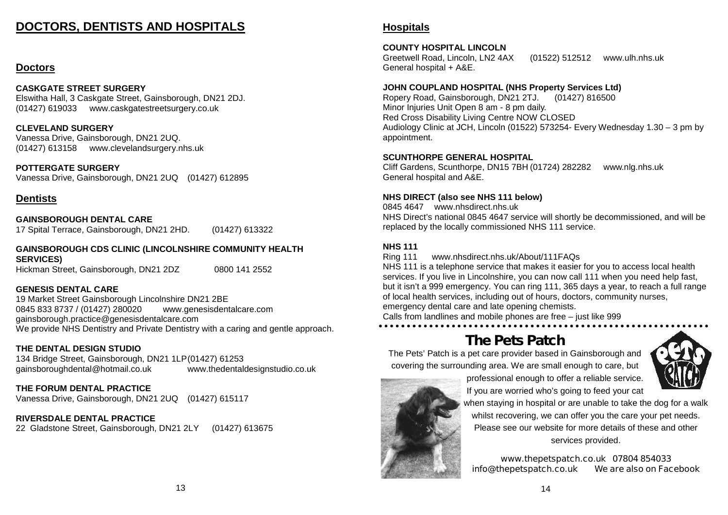#### **DOCTORS, DENTISTS AND HOSPITALS PRINCE'S TRUST** c/o Lincolnship Fire Fire Avenue, South Park Avenue, Lincoln, Ln5 8EL, Ln5 8EL, Ln5 8EL, Ln5 8EL, Ln5 8EL, Ln5

#### **Doctors** opportunity to succeed and aims to break down barriers, give confidence and resilience to young people to help them achieve their own results. We offer 12 week

## $\textsf{CASKGATE}$  STREET SURGERY

chonomic United Pontodini<br>Elswitha Hall, 3 Caskgate Street, Gainsborough, DN21 2DJ. (01427) 619033 www.caskgatestreetsurgery.co.uk

**CLEVELAND SURGERY North Warren Road, Gainsborough, DN21 2TT. (01427) 6780612TT.** ULL CHING CONCLINI<br>Vanessa Drive, Gainsborough, DN21 2UQ. (01427) 613158 www.clevelandsurgery.nhs.uk

**POTTERGATE SURGERY At New Life Christian Fellowship, Middlefield Lane, Gainsborough, DN21 1UN.** Vanessa Drive, Gainsborough, DN21 2UQ (01427) 612895 07909178454 Mondays 9.45 - 11.30 am, 1.00 - 2.30 pm.

# **Dentists**

#### **GAINSBOROUGH DENTAL CARE**

**BAINSBONOUGH DENTAL CANE<br>17 Spital Terrace, Gainsborough, DN21 2HD. (01427) 613322**  $B$ l Spital Terrace, Gallisborough, Divz EzriD.  $(0.1427)$  615522

**GAINSBOROUGH CDS CLINIC (LINCOLNSHIRE COMMUNITY HEALTH SERVICES)** Hickman Street, Gainsborough, DN21 2DZ 0800 141 2552 JAINJBUNUUUN CDJ CLI<br>25DJ/losoj

#### **GENESIS DENTAL CARE**  $(0.71766)$  density  $(0.4877)$

unity.<br>19 Market Street Gainsborough Lincolnshire DN21 2BE 0845 833 8737 / (01427) 280020 www.genesisdentalcare.com gainsborough.practice@genesisdentalcare.com We provide NHS Dentistry and Private Dentistry with a caring and gentle approach.  $\overline{C}$  can be considered a wide range of  $\overline{C}$  and  $\overline{C}$  and  $\overline{C}$  and  $\overline{C}$  and  $\overline{C}$  and  $\overline{C}$  and  $\overline{C}$  and  $\overline{C}$  and  $\overline{C}$  and  $\overline{C}$  and  $\overline{C}$  and  $\overline{C}$  and  $\overline{C}$  and  $\overline{C}$ 

#### **THE DENTAL DESIGN STUDIO**  $18$  Particle Street, Gainsborough, Lincolnshire, DN21 2NB (01427)  $\alpha$

THE DENTAL DESIGN STODIO<br>134 Bridge Street, Gainsborough, DN21 1LP(01427) 61253 gainsboroughdental@hotmail.co.uk www.thedentaldesignstudio.co.uk Office: Office: Open Superintent week of the United States 1.30  $\mu$ 

# THE FORUM DENTAL PRACTICE

THE FURUM DENTAL FRACTICE<br>Vanessa Drive, Gainsborough, DN21 2UQ (01427) 615117  $T$ ulessa Drive, Galiisborougri, DNZT 20 $Q_{\parallel}$  (0.1427) o i $3117$ 

#### **RIVERSDALE DENTAL PRACTICE**  $\mathcal{O}(n \times n)$  centre control or the disabled or  $\mathcal{O}(n \times n)$

RIVERSDALE DENTAL FRACTICE<br>22 Gladstone Street, Gainsborough, DN21 2LY (01427) 613675  $22$  Giausione Street, Gainsborough, DNZT ZET  $(01427)$  013073

#### **GAINSBOROUGH HEARING HELPLINE SOCIAL CLUB Hospitals** Gainsborough Methodist Church, North St. Gainsborough (entrance from car park) in the street from care park of

# **COUNTY HOSPITAL LINCOLN**

Greetwell Road, Lincoln, LN2 4AX Oreetwell Road, Efficial, Erve 4AX (01322) 312312 www.diff.mis.uk<br>General hospital + A&E.  $\mathcal{L}$  differential loop  $\mathcal{L}$ . Loop  $\mathcal{L}$ . (01522) 512512 www.ulh.nhs.uk

# connected with hearing problems. **JOHN COUPLAND HOSPITAL (NHS Property Services Ltd)**

Ropery Road, Gainsborough, DN21219.<br>Minor Injuries Unit Open 8 am - 8 pm daily. will of injuries Ont Open o am - 0 pm daily.<br>Red Cross Disability Living Centre NOW CLOSED Neu Oross Disability Living Octube NOW OLOOLD<br>Audiology Clinic of JCH Lincoln (01500) 570051 Fyem Audiology Clinic at JCH, Lincoln (01522) 573254- Every Wednesday 1.30 – 3 pm by<br>anneintment appointment. Ropery Road, Gainsborough, DN21 2TJ. (01427) 816500 appointment.

#### **SCUNTHORPE GENERAL HOSPITAL**

**CURTHON E OLIVERAL HOOF HAL** Cliff Gardens, Scunthorpe, DN15 7BH (01724) 282282 www.nlg.nhs.uk<br>Ceneral bespitel and A.8.E General hospital and A&E.

# **NHS DIRECT (also see NHS 111 below)**

**LADIES LUNCHEON CLUB, EAST STOCKWITH** NHS Direct's national 0845 4647 service will shortly be decommissioned, and will be  $C$  Contact: Mrs Mary Reviewed Mrs Mary Reviewed Mrs Mary Reviewed Mrs Mary Reviewed Mrs Mary  $C$ replaced by the locally commissioned NHS 111 service. 0845 4647 www.nhsdirect.nhs.uk

#### **NHS 111**

**Ring 111 www.nhsdirect.nhs.uk/About/111FAQs** 

Ning TTT www.finsulect.fins.uk/About TTTAQs<br>NHS 111 is a telephone service that makes it easier for you to access local health NESS TET IS a telephone service that makes it easier for you to access local health.<br>Services. If you live in Lincolnshire, you can now call 111 when you need help fast, services. If you live in Elficolitshire, you can flow call TTT when you heed help fast,<br>but it isn't a 999 emergency. You can ring 111, 365 days a year, to reach a full range or local health services, including out or hours, doctors,<br>emergency dental care and late opening chemists.  $\epsilon$  included Hall, Corringham. Corresponding Corresponding Corresponding Corresponding Corresponding Corresponding Corresponding Corresponding Corresponding Corresponding Corresponding Corresponding Corresponding Corresp of local health services, including out of hours, doctors, community nurses,

Calls from landlines and mobile phones are free – just like 999<br>Calls from landlines and calls are calls are free – just like 999

#### demonstrations and occasional outings. All welcome. **The Pets Patch**

The Pets' Patch is a pet care provider based in Gainsborough and **COLLY AGE**  $\frac{1}{\sqrt{1-\frac{1}{\sqrt{1-\frac{1}{\sqrt{1-\frac{1}{\sqrt{1-\frac{1}{\sqrt{1-\frac{1}{\sqrt{1-\frac{1}{\sqrt{1-\frac{1}{\sqrt{1-\frac{1}{\sqrt{1-\frac{1}{\sqrt{1-\frac{1}{\sqrt{1-\frac{1}{\sqrt{1-\frac{1}{\sqrt{1-\frac{1}{\sqrt{1-\frac{1}{\sqrt{1-\frac{1}{\sqrt{1-\frac{1}{\sqrt{1-\frac{1}{\sqrt{1-\frac{1}{\sqrt{1-\frac{1}{\sqrt{1-\frac{1}{\sqrt{1+\frac{1}{\sqrt{1-\frac{1}{\sqrt{1+\frac{1}{\sqrt{1+\frac{1$ covering the surrounding area. We are small enough to care, but





**WILLINGHAM BY STOW FRIENDSHIP CLUBBE WHEN STAYING IN hospital or are unable to take the dog for a walk** William Village Hall, High Street, William Street, William Street, William Street, William Street, William Street, William Street, William Street, William Street, William Street, William Street, William Street, William Str whilst recovering, we can offer you the care your pet needs. **For all the UK Lindsey.** Please see our website for more details of these and other If you are worried who's going to feed your cat

services provided.

**www.thepetspatch.co.uk 07804 854033 info@thepetspatch.co.uk We are also on Facebook**

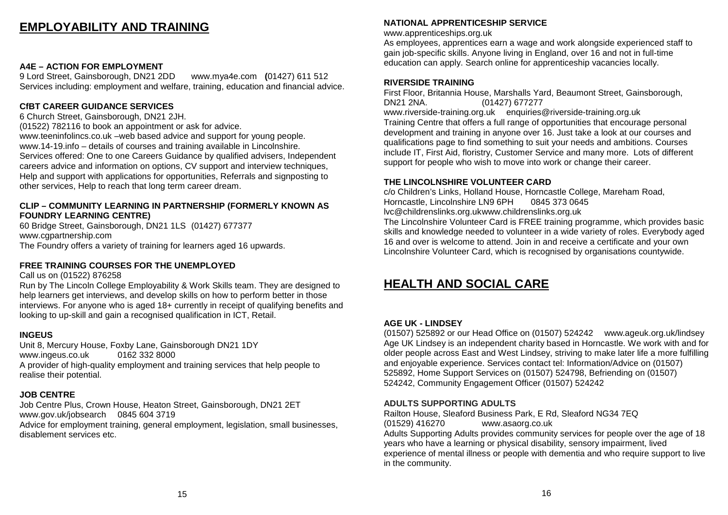#### **EMPLOYABILITY AND TRAINING ALCOHOLICS ANONYMOUS** <u>"Is also than more than money would be a series of the money would be a series of the series of the series of th</u>

#### **A4E – ACTION FOR EMPLOYMENT**

9 Lord Street, Gainsborough, DN21 2DD www.mya4e.com (01427) 611 512 Services including: employment and welfare, training, education and financial advice. **ARTHRITIS CAREER** 

#### **CfBT CAREER GUIDANCE SERVICES Example 2011**

6 Church Street, Gainsborough, DN21 2JH.

(01522) 782116 to book an appointment or ask for advice.

www.teeninfolincs.co.uk –web based advice and support for young people. www.14-19.info – details of courses and training available in Lincolnshire. Services offered: One to one Careers Guidance by qualified advisers, Independent careers advice and information on options, CV support and interview techniques, Help and support with applications for opportunities, Referrals and signposting to other services, Help to reach that long term career dream. depression, feelings of worthlessness and isolation – meeting people in the same

#### CLIP – COMMUNITY LEARNING IN PARTNERSHIP (FORMERLY KNOWN AS **FOUNDRY LEARNING CENTRE)**

The Old Vicarage, Croft Street, Lincoln, LN2 5AX (01522) 533510

60 Bridge Street, Gainsborough, DN21 1LS (01427) 677377 www.cgpartnership.com The Foundry offers a variety of training for learners aged 16 upwards.

#### FREE TRAINING COURSES FOR THE UNEMPLOYED

Call us on (01522) 876258

Run by The Lincoln College Employability & Work Skills team. They are designed to help learners get interviews, and develop skills on how to perform better in those interviews. For anyone who is aged 18+ currently in receipt of qualifying benefits and looking to up-skill and gain a recognised qualification in ICT, Retail. **D D D D D D D D** 

#### **INGEUS**  $\mathsf{WGEUS}$

Unit 8, Mercury House, Foxby Lane, Gainsborough DN21 1DY www.ingeus.co.uk 0162 332 8000 please contact Nigel Webster on (01427) 811920 or 07760362876 A provider of high-quality employment and training services that help people to realise their potential. 2/4 Mint Lane, Lincoln, Lincoln, Lincoln, Lincoln, Lincoln, Lincoln, Lincoln, Lincoln, Lincoln, Lincoln, Linco

## **JOB CENTRE**

Job Centre Plus, Crown House, Heaton Street, Gainsborough, DN21 2ET www.gov.uk/jobsearch 0845 604 3719 Advice for employment training, general employment, legislation, small businesses,

disablement services etc.

## **GAINSBOROUGH HEARING HELPLINE CLINIC NATIONAL APPRENTICESHIP SERVICE**

www.apprenticeships.org.uk

 $\mathsf{www}$ .apprenticesnips.org.uk $\mathsf{u}$ As employees, apprentices earn a wage and work alongside experienced staff to gain job-specific skills. Anyone living in England, over 16 and not in full-time education can apply. Search online for apprenticeship vacancies locally. Our national helpline on 0845 769 7555. Lincolnshire helpline number manned from

#### **GAINSBOROUGH HEALTHWATCH** (01205) 820892 info@healthwatchlincolnshire.co.uk **RIVERSIDE TRAINING**

First Floor, Britannia House, Marshalls Yard, Beaumont Street, Gainsborough,  $G$ Binsborough meetings held quarterly. The group was formed in  $2012$  under the group was formed in 2012 under the group was formed in 2012 under the group was formed in 2012 under the group was formed in 2012 under the www.riverside-training.org.uk enquiries@riverside-training.org.uk<br>— Training Centre that offers a full range of opportunities that encourage personal development and training in anyone over 16. Just take a look at our courses and **GAINSBOROUGH HEART SUPPORT GROUP** include IT, First Aid, floristry, Customer Service and many more. Lots of different support for people who wish to move into work or change their career. DN21 2NA. (01427) 677277 qualifications page to find something to suit your needs and ambitions. Courses

#### Contact: Ian Davidson/Julie Lax (01427) 616610 **THE LINCOLNSHIRE VOLUNTEER CARD**

c/o Children's Links, Holland House, Horncastle College, Mareham Road, Horncastle, Lincolnshire LN9 6PH 0845 373 0645 Contact Mr Michael Wragg, Group Leader (01427) 616852 mwrgg@aol.com. lvc@childrenslinks.org.ukwww.childrenslinks.org.uk

The Lincolnshire Volunteer Card is FREE training programme, which provides basic skills and knowledge needed to volunteer in a wide variety of roles. Everybody aged 16 and over is welcome to attend. Join in and receive a certificate and your own Lincolnshire Volunteer Card, which is recognised by organisations countywide.

#### **HEALTH AND SOCIAL CARE Marshall** Contact: Debbie Williams and Victoria Martin

#### matters such as weight issues, confidence building, physical activity, alcohol issues, **AGE UK - LINDSEY**

(01507) 525892 or our Head Office on (01507) 524242 www.ageuk.org.uk/lindsey Age UK Lindsey is an independent charity based in Horncastle. We work with and for and enjoyable experience. Services contact tel: Information/Advice on (01507) 525892, Home Support Services on (01507) 524798, Befriending on (01507) 524242, Community Engagement Officer (01507) 524242 older people across East and West Lindsey, striving to make later life a more fulfilling

#### www.walkingforhealth.org.uk/walkfinder/east-midlands/west-lindsey-health-walks **ADULTS SUPPORTING ADULTS**

Railton House, Sleaford Business Park, E Rd, Sleaford NG34 7EQ (01529) 416270 www.asaorg.co.uk Adults Supporting Adults provides community services for people over the age of 18 years who have a learning or physical disability, sensory impairment, lived experience of mental illness or people with dementia and who require support to live in the community.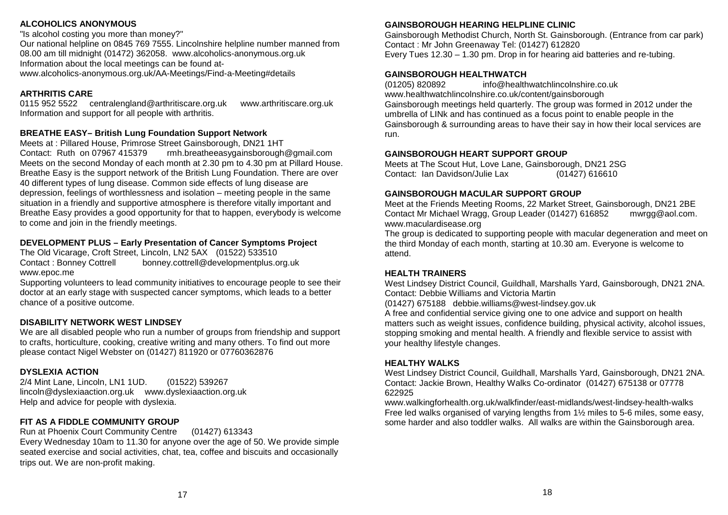#### **ALCOHOLICS ANONYMOUS**

ALCOHOLICS ANONYMOUS<br>"Is alcohol costing you more than money?"

Our national helpline on 0845 769 7555. Lincolnshire helpline number manned from 08.00 am till midnight (01472) 362058. www.alcoholics-anonymous.org.uk Information about the local meetings can be found atwww.alcoholics-anonymous.org.uk/AA-Meetings/Find-a-Meeting#details

#### **ARTHRITIS CARE**  $S_{\text{S}}$  including: employment and welfare, training, education and financial advice.

0115 952 5522 centralengland@arthritiscare.org.uk www.arthritiscare.org.uk<br>Information.org/www.art.for.ell.neepla.uith.arthritis Information and support for all people with arthritis.

#### **BREATHE EASY– British Lung Foundation Support Network**  $\overline{O}$ breathered – british Lung Foundation Support Network.<br>Medical pillow like and people. Of young people. DNOt this

Meets at : Pillared House, Primrose Street Gainsborough, DN21 1HT<br>Courses and training available in Lincolnshire. Contact: Ruth on 07967 415379 rmh.breatheeasygainsborough@gmail.com Meets on the second Monday of each month at 2.30 pm to 4.30 pm at Pillard House. Breathe Easy is the support network of the British Lung Foundation. There are over 40 different types of lung disease. Common side effects of lung disease are depression, feelings of worthlessness and isolation – meeting people in the same situation in a friendly and supportive atmosphere is therefore vitally important and situation in a mentity and supportive atmosphere is therefore vitally important and<br>Breathe Easy provides a good opportunity for that to happen, everybody is welcome to come and join in the friendly meetings. Services of one career of the career of the career of careers of the career of the complete advisor of the contract of the contract of the contract of the contract of the contract of the contract of the contract of the con weets on the second wonday of each month at 2.30 pm to 4.30 pm at Pillard House. **FIGURE EASY PROVIDES A GOOD OPPORTUNE** 1,<br>
Interdebities helpline number manned from<br>
WardColorics-dinopartics-dinopartics-dinopartics-dinopartics-dimension-organic Clinical Clinical Clinical Clinical Clinical Clinical Clinical Clinical Clinical Clinical Clinic

#### **DEVELOPMENT PLUS – Early Presentation of Cancer Symptoms Project**  $\mathbb{R}^{n \times n}$  contruership.com  $\mathbb{R}^{n}$  is a DEVELOPINENT PLUS – Early Presentation of Gancer Symptoms Pro

The Old Vicarage, Croft Street, Lincoln, LN2 5AX (01522) 533510 Contact : Bonney Cottrell bonney.cottrell@developmentplus.org.uk www.epoc.me  $\alpha$  www.epoc.me

Supporting volunteers to lead community initiatives to encourage people to see their doctor at an early stage with suspected cancer symptoms, which leads to a better chance of a positive outcome.<br> $\blacksquare$ Supporting volumeers to lead community initiatives to encourage people to see their

#### **DISABILITY NETWORK WEST LINDSEY** looking to up-skill and gain a recognised qualification in ICT, Retail.

We are all disabled people who run a number of groups from friendship and support to crafts, horticulture, cooking, creative writing and many others. To find out more please contact Nigel Webster on (01427) 811920 or 07760362876

#### **DYSLEXIA ACTION<br>Contract potential.**  $\mathbf{P}^{(n)}$  and the high-quality employment and training services that help people to people to people to people to people to people to people to people to people to people to people to people to people to people to peop

2/4 Mint Lane, Lincoln, LN1 1UD. (01522) 539267 lincoln@dyslexiaaction.org.uk www.dyslexiaaction.org.uk<br>... Help and advice for people with dyslexia.

#### **FIT AS A FIDDLE COMMUNITY GROUP**  $E(T, \lambda)$  is  $E(D, \lambda) = 0.611111111T$  and  $E(D, \lambda)$ FIT AS A FIDDLE COMMONITY GROUP

Run at Phoenix Court Community Centre (01427) 613343 Every Wednesday 10am to 11.30 for anyone over the age of 50. We provide simple seated exercise and social activities, chat, tea, coffee and biscuits and occasionally trips out. We are non-profit making.

#### **GAINSBOROUGH HEARING HELPLINE CLINIC**

Gainsborough Methodist Church, North St. Gainsborough. (Entrance from car park) Contact : Mr John Greenaway Tel: (01427) 612820 Every Tues 12.30 – 1.30 pm. Drop in for hearing aid batteries and re-tubing.

#### **GAINSBOROUGH HEALTHWATCH**

(01205) 820892 www.healthwatchlincolnshire.co.uk/content/gainsborough info@healthwatchlincolnshire.co.uk

Gainsborough meetings held quarterly. The group was formed in 2012 under the umbrella of LINk and has continued as a focus point to enable people in the Gainsborough & surrounding areas to have their say in how their local services are development and training in any one over 16. Just take a look at our courses and the out courses and the out courses and the out courses and the out courses and the out courses and the out courses and the out courses and t run.

#### **GAINSBOROUGH HEART SUPPORT GROUP**

Meets at The Scout Hut, Love Lane, Gainsborough, DN21 2SG Contact: Ian Davidson/Julie Lax (01427) 616610

#### GAINSBOROUGH MACULAR SUPPORT GROUP

Meet at the Friends Meeting Rooms, 22 Market Street, Gainsborough, DN21 2BE Contact Mr Michael Wragg, Group Leader (01427) 616852 mwrgg@aol.com. www.maculardisease.org

The group is dedicated to supporting people with macular degeneration and meet on the third Monday of each month, starting at 10.30 am. Everyone is welcome to Lincolnshire Volunteer Card, which is recognised by organisations countywide. attend.

#### **HEALTH TRAINERS**

West Lindsey District Council, Guildhall, Marshalls Yard, Gainsborough, DN21 2NA. Contact: Debbie Williams and Victoria Martin

(01427) 675188 debbie.williams@west-lindsey.gov.uk

matters such as weight issues, confidence building, physical activity, alcohol issues, stopping smoking and mental health. A friendly and flexible service to assist with your healthy lifestyle changes. We was also with an expected in Horncastle with an induced in Horncastle. We would be with an induced in the set of the set of the set of the set of the set of the set of the set of the set A free and confidential service giving one to one advice and support on health

#### and enjoyable experience. Services contact tel: Information/Advice on (01507) **HEALTHY WALKS**

West Lindsey District Council, Guildhall, Marshalls Yard, Gainsborough, DN21 2NA. Contact: Jackie Brown, Healthy Walks Co-ordinator (01427) 675138 or 07778 622925

www.walkingforhealth.org.uk/walkfinder/east-midlands/west-lindsey-health-walks Free led walks organised of varying lengths from 1½ miles to 5-6 miles, some easy, some harder and also toddler walks. All walks are within the Gainsborough area.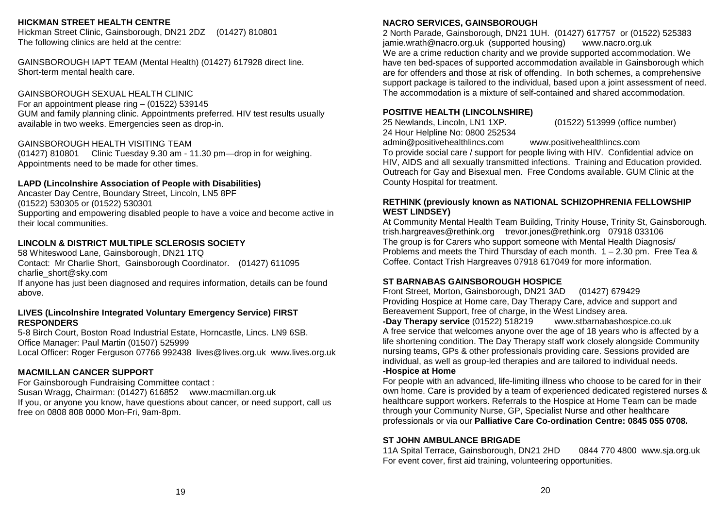#### **HICKMAN STREET HEALTH CENTRE SHINE - Mental Health Support Network in Lincolnshire**

Hickman Street Clinic, Gainsborough, DN21 2DZ (01427) 810801 The following clinics are held at the centre:

GAINSBOROUGH IAPT TEAM (Mental Health) (01427) 617928 direct line. Short-term mental health care.

GAINSBOROUGH SEXUAL HEALTH CLINIC

For an appointment please ring  $-$  (01522) 539145 GUM and family planning clinic. Appointments preferred. HIV test results usually available in two weeks. Emergencies seen as drop-in. **THERAPYWORKS4U**

#### GAINSBOROUGH HEALTH VISITING TEAM

 $(01427)$  810801 Clinic Tuesday 9.30 am - 11.30 pm—drop in for weighing. Appointments need to be made for other times. Counselling, Psychotherapy, Hypnotherapy. If you have difficulties with: anxiety,

#### LAPD (Lincolnshire Association of People with Disabilities)

Ancaster Day Centre, Boundary Street, Lincoln, LN5 8PF  $(01522)$  530305 or  $(01522)$  530301 Supporting and empowering disabled people to have a voice and become active in their local communities.

#### LINCOLN & DISTRICT MULTIPLE SCLEROSIS SOCIETY

58 Whiteswood Lane, Gainsborough, DN21 1TQ **Contact: Liza Cleanet.com Contact: Contact: Contact: Contact: Conta** Contact: Mr Charlie Short, Gainsborough Coordinator. (01427) 611095 charlie\_short@sky.com and rehabilitation. Monday 6.30pm School, Tuesday 6.30pm School, Tuesday 6.30pm School, Tu

If anyone has just been diagnosed and requires information, details can be found above. **Alternative Structure Fitness** 

#### LIVES (Lincolnshire Integrated Voluntary Emergency Service) FIRST **RESPONDERS Parkinson's COPD and all age relating air various locations in the contract of the contract of the contract of the contract of the contract of the contract of the contract of the contract of the contract of t**

5-8 Birch Court, Boston Road Industrial Estate, Horncastle, Lincs. LN9 6SB. Office Manager: Paul Martin (01507) 525999 Local Officer: Roger Ferguson 07766 992438 lives@lives.org.uk www.lives.org.uk *A Woodland Eco/Green Burial Park*

## **MACMILLAN CANCER SUPPORT**

For Gainsborough Fundraising Committee contact : Susan Wragg, Chairman: (01427) 616852 www.macmillan.org.uk If you, or anyone you know, have questions about cancer, or need support, call us free on 0808 808 0000 Mon-Fri, 9am-8pm. *marked by the planting of a tree or*

#### **NACRO SERVICES, GAINSBOROUGH**

**NACRO SERVICES, GAINSBOROUGH**<br>2 North Parade, Gainsborough, DN21 1UH. (01427) 617757 or (01522) 525383 have ten bed-spaces of supported accommodation available in Gainsborough which are for offenders and those at risk of offending. In both schemes, a comprehensive support package is tailored to the individual, based upon a joint assessment of need. The accommodation is a mixture of self-contained and shared accommodation. jamie.wrath@nacro.org.uk (supported housing) www.nacro.org.uk We are a crime reduction charity and we provide supported accommodation. We

## home ownership housing options and sheltered housing for the elderly across nine **POSITIVE HEALTH (LINCOLNSHIRE)**

25 Newlands, Lincoln, LN1 1XP. 24 Hour Helpline No: 0800 252534 (01522) 513999 (office number)

**CHRISTIAN AID GAINSBOROUGH & DISTRICT GROUP** admin@positivehealthlincs.com www.positivehealthlincs.com

To provide social care / support for people living with HIV. Confidential advice on Outreach for Gay and Bisexual men. Free Condoms available. GUM Clinic at the County Hospital for treatment. HIV, AIDS and all sexually transmitted infections. Training and Education provided.

#### RETHINK (previously known as NATIONAL SCHIZOPHRENIA FELLOWSHIP  $WEST$  LINDSEY) and a recognised family business.

**GAINSBOROUGH HOUSE COMMUNITY CENTRE** trish.hargreaves@rethink.org trevor.jones@rethink.org 07918 033106 The group is for Carers who support someone with Mental Health Diagnosis/ Problems and meets the Third Thursday of each month. 1 – 2.30 pm. Free Tea & Coffee. Contact Trish Hargreaves 07918 617049 for more information. At Community Mental Health Team Building, Trinity House, Trinity St, Gainsborough.

## ST BARNABAS GAINSBOROUGH HOSPICE **on the Gainsborough House of Gainsborough House o**

Front Street, Morton, Gainsborough, DN21 3AD (01427) 679429 Bereavement Support, free of charge, in the West Lindsey area. Providing Hospice at Home care, Day Therapy Care, advice and support and

**-Day Therapy service** (01522) 518219 www.stbarnabashospice.co.uk A free service that welcomes anyone over the age of 18 years who is affected by a life shortening condition. The Day Therapy staff work closely alongside Community nursing teams, GPs & other professionals providing care. Sessions provided are individual, as well as group-led therapies and are tailored to individual needs. redistributed to any one in the local community who are in need of low cost furniture. **-Hospice at Home**

own home. Care is provided by a team of experienced dedicated registered nurses & healthcare support workers. Referrals to the Hospice at Home Team can be made through your Community Nurse, GP, Specialist Nurse and other healthcare professionals or via our **Palliative Care Co-ordination Centre: 0845 055 0708.** For people with an advanced, life-limiting illness who choose to be cared for in their

#### ST JOHN AMBULANCE BRIGADE

transport services, disability or poor health. The office is staffed on Mon, Wed, Fri, 11A Spital Terrace, Gainsborough, DN21 2HD 0844 770 4800 www.sja.org.uk For event cover, first aid training, volunteering opportunities.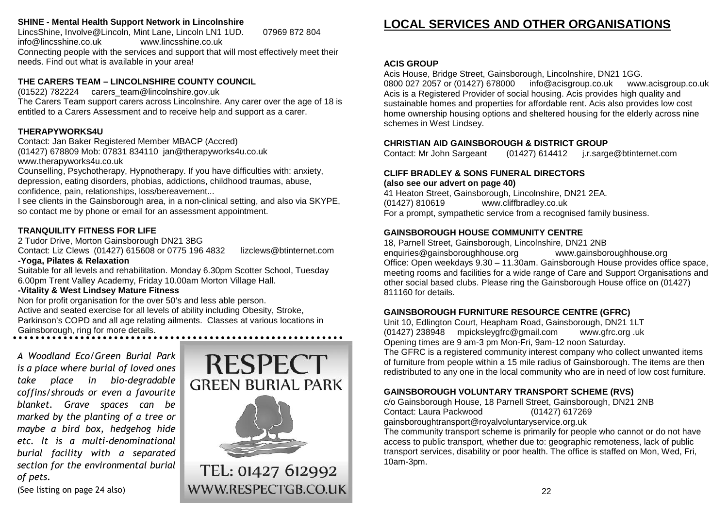#### SHINE - Mental Health Support Network in Lincolnshire

LincsShine, Involve@Lincoln, Mint Lane, Lincoln LN1 1UD. 07969 872 804 info@lincsshine.co.uk www.lincsshine.co.uk Connecting people with the services and support that will most effectively meet their needs. Find out what is available in your area!

#### **THE CARERS TEAM – LINCOLNSHIRE COUNTY COUNCIL**

(01522) 782224 carers\_team@lincolnshire.gov.uk<br>———————————————————— The Carers Team support carers across Lincolnshire. Any carer over the age of 18 is entitled to a Carers Assessment and to receive help and support as a carer.

#### **THERAPYWORKS4U** available in two weeks. Emergencies seen as drop-in.

Contact: Jan Baker Registered Member MBACP (Accred)<br>(3) (25) 072333.11 | 07331.33 (11.6 | 03.1 (01427) 678809 Mob: 07831 834110 jan@therapyworks4u.co.uk

www.therapyworks4u.co.uk www.therapyworks4u.co.uk<br>Charles in the material times.

Counselling, Psychotherapy, Hypnotherapy. If you have difficulties with: anxiety, depression, eating disorders, phobias, addictions, childhood traumas, abuse, confidence, pain, relationships, loss/bereavement...

I see clients in the Gainsborough area, in a non-clinical setting, and also via SKYPE, so contact me by phone or email for an assessment appointment.

#### **TRANQUILITY FITNESS FOR LIFE** their local communities.

2 Tudor Drive, Morton Gainsborough DN21 3BG<br>College Multiple of *District Multiple Schedule Such*es and College of the Child Contact: Liz Clews (01427) 615608 or 0775 196 4832 lizclews@btinternet.com e **-Yoga, Pilates & Relaxation** - Yoga, Pilates & Relaxation.  $\frac{d}{dx}$  Coordinator. (01427) 61227 61227 61227 61227

Suitable for all levels and rehabilitation. Monday 6.30pm Scotter School, Tuesday 6.00pm Trent Valley Academy, Friday 10.00am Morton Village Hall.<br>Information diagnosed and requires information, details can be found and requires information. The found of th Suitable for all levels and renabilitation

## **-Vitality & West Lindsey Mature Fitness** above.

Non for profit organisation for the over 50's and less able person. Active and seated exercise for all levels of ability including Obesity, Stroke,<br>-Parkinson's COPD and all age relating ailments. Classes at various locations in Gainsborough, ring for more details. 5-8 Birch Court, Boston Road Industrial Estate, Horncastle, Lincs. LN9 6SB.

19

*is a place where burial of loved ones* take place in bio-degradable **GREE**I *coffins/shrouds or even a favourite marked by the planting of a tree or maybe a bird box, hedgehog hide etc. It is a multi-denominational burial facility with a separated section for the environmental burial of pets.*

(See listing on page 24 also)



TEL: 01427 612992 WWW.RESPECTGB.CO.UK

#### LOCAL SERVICES AND OTHER ORGANISATIONS 2 North Parade, Gainsborough, DN21 1UH. (01427) 617757 or (01522) 525383

#### **ACIS GROUP ACIS GROUP**

Acis House, Bridge Street, Gainsborough, Lincolnshire, DN21 1GG. 0800 027 2057 or (01427) 678000 info@acisgroup.co.uk www.acisgroup.co.uk Acis is a Registered Provider of social housing. Acis provides high quality and home ownership housing options and sheltered housing for the elderly across nine schemes in West Lindsey. (2015) 521399 (or final state number) of the number of  $\sim$ sustainable homes and properties for affordable rent. Acis also provides low cost

#### **CHRISTIAN AID GAINSBOROUGH & DISTRICT GROUP**

Contact: Mr John Sargeant (01427) 614412 j.r.sarge@btinternet.com

#### Outreach for Gay and Bisexual men. Free Condoms available. GUM Clinic at the **CLIFF BRADLEY & SONS FUNERAL DIRECTORS**

(also see our advert on page 40) (01427) 810619 www.cliffbradley.co.uk For a prompt, sympathetic service from a recognised family business. 41 Heaton Street, Gainsborough, Lincolnshire, DN21 2EA.

#### **GAINSBOROUGH HOUSE COMMUNITY CENTRE**

18, Parnell Street, Gainsborough, Lincolnshire, DN21 2NB enquiries@gainsboroughhouse.org www.gainsboroughhouse.org Office: Open weekdays 9.30 - 11.30am. Gainsborough House provides office space, other social based clubs. Please ring the Gainsborough House office on (01427) 811160 for details. And a street, Morton, Gainsborough, DN21 3AD (01427) 679429 meeting rooms and facilities for a wide range of Care and Support Organisations and

#### **GAINSBOROUGH FURNITURE RESOURCE CENTRE (GFRC)**

Unit 10, Edlington Court, Heapham Road, Gainsborough, DN21 1LT (01427) 238948 mpicksleygfrc@gmail.com www.gfrc.org .uk Opening times are 9 am-3 pm Mon-Fri, 9am-12 noon Saturday.

The GFRC is a registered community interest company who collect unwanted items of furniture from people within a 15 mile radius of Gainsborough. The items are then redistributed to any one in the local community who are in need of low cost furniture.

#### GAINSBOROUGH VOLUNTARY TRANSPORT SCHEME (RVS)

c/o Gainsborough House, 18 Parnell Street, Gainsborough, DN21 2NB Contact: Laura Packwood (01427) 617269 gainsboroughtransport@royalvoluntaryservice.org.uk

access to public transport, whether due to: geographic remoteness, lack of public transport services, disability or poor health. The office is staffed on Mon, Wed, Fri, For event cover, first aid training, volunteering opportunities. 10am-3pm. The community transport scheme is primarily for people who cannot or do not have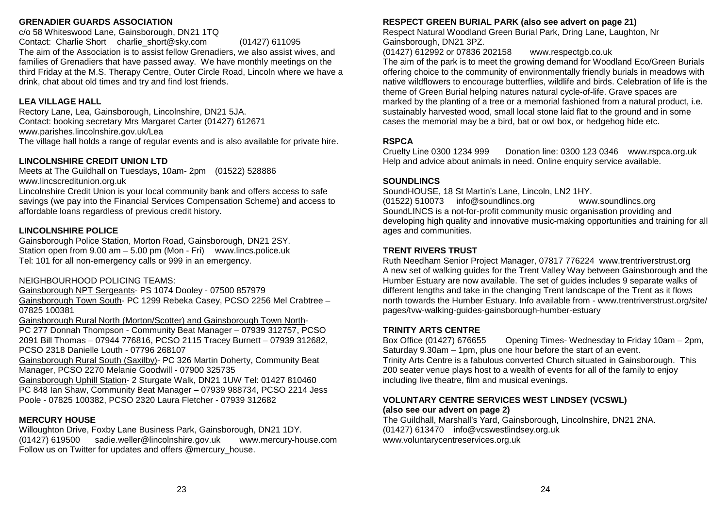#### **GRENADIER GUARDS ASSOCIATION**

**GRENADIER GUARDS ASSOCIATION<br>c/o 58 Whiteswood Lane, Gainsborough, DN21 1TQ** Contact: Charlie Short charlie\_short@sky.com (01427) 611095 The aim of the Association is to assist fellow Grenadiers, we also assist wives, and **BLENHEIM CARE CENTRE** families of Grenadiers that have passed away. We have monthly meetings on the third Friday at the M.S. Therapy Centre, Outer Circle Road, Lincoln where we have a drink, chat about old times and try and find lost friends.

#### **LEA VILLAGE HALL BLYTON COURT**

Rectory Lane, Lea, Gainsborough, Lincolnshire, DN21 5JA. Contact: booking secretary Mrs Margaret Carter (01427) 612671 www.parishes.lincolnshire.gov.uk/Lea The village hall holds a range of regular events and is also available for private hire.

#### **LINCOLNSHIRE CREDIT UNION LTD**

Meets at The Guildhall on Tuesdays, 10am- 2pm (01522) 528886 www.lincscreditunion.org.uk

Lincolnshire Credit Union is your local community bank and offers access to safe savings (we pay into the Financial Services Compensation Scheme) and access to affordable loans regardless of previous credit history.

#### $LINCOLNSHIRE$  POLICE

Gainsborough Police Station, Morton Road, Gainsborough, DN21 2SY. Station open from 9.00 am – 5.00 pm (Mon - Fri) vww.lincs.police.uk Tel: 101 for all non-emergency calls or 999 in an emergency.

#### NEIGHBOURHOOD POLICING TEAMS:

Gainsborough NPT Sergeants- PS 1074 Dooley - 07500 857979 **DROVERS CALL CARE HOME** <u>Gainsborough Town South</u>- PC 1299 Rebeka Casey, PCSO 2256 Mel Crabtree – 07825 100381 Contact: Jane Mason (01427) 678300 dcmanager@knightscare.co.uk

<u>Gainsborough Rural North (Morton/Scotter) and Gainsborough Town North</u>-

PC 277 Donnah Thompson - Community Beat Manager – 07939 312757, PCSO 2091 Bill Thomas – 07944 776816, PCSO 2115 Tracey Burnett – 07939 312682, PCSO 2318 Danielle Louth - 07796 268107

<u>Gainsborough Rural South (Saxilby</u>)- PC 326 Martin Doherty, Community Beat Manager, PCSO 2270 Melanie Goodwill - 07900 325735

<u>Gainsborough Uphill Station</u>- 2 Sturgate Walk, DN21 1UW Tel: 01427 810460 PC 848 Ian Shaw, Community Beat Manager – 07939 988734, PCSO 2214 Jess Poole - 07825 100382, PCSO 2320 Laura Fletcher - 07939 312682

#### **MERCURY HOUSE**

Willoughton Drive, Foxby Lane Business Park, Gainsborough, DN21 1DY. (01427) 619500 sadie.weller@lincolnshire.gov.uk www.mercury-house.com w Follow us on Twitter for updates and offers @mercury\_house.

#### RESPECT GREEN BURIAL PARK (also see advert on page 21)

Respect Natural Woodland Green Burial Park, Dring Lane, Laughton, Nr Gainsborough, DN21 3PZ.

(01427) 612992 or 07836 202158 www.respectgb.co.uk

The aim of the park is to meet the growing demand for Woodland Eco/Green Burials offering choice to the community of environmentally friendly burials in meadows with native wildflowers to encourage butterflies, wildlife and birds. Celebration of life is the theme of Green Burial helping natures natural cycle-of-life. Grave spaces are marked by the planting of a tree or a memorial fashioned from a natural product, i.e. cases the memorial may be a bird, bat or owl box, or hedgehog hide etc. sustainably harvested wood, small local stone laid flat to the ground and in some

#### $\mathsf{RSPCA}$  and  $\mathsf{RSPCA}$

Cruelty Line 0300 1234 999 Donation line: 0300 123 0346 www.rspca.org.uk **RSPCA**<br>Cruelty Line 0300 1234 999 Help and advice about animals in need. Online enquiry service available.

#### 3 Eastgate, Scotton, Nr Gainsborough, DN21 3QR. **SOUNDLINCS**

SoundHOUSE, 18 St Martin's Lane, Lincoln, LN2 1HY. (01522) 510073 info@soundlincs.org www.soundlincs.org SoundLINCS is a not-for-profit community music organisation providing and ages and communities. developing high quality and innovative music-making opportunities and training for all

#### Contact: Carol Horne (01427) 788283 **TRENT RIVERS TRUST**

Ruth Needham Senior Project Manager, 07817 776224 www.trentriverstrust.org A new set of walking guides for the Trent Valley Way between Gainsborough and the different lengths and take in the changing Trent landscape of the Trent as it flows north towards the Humber Estuary. Info available from - www.trentriverstrust.org/site/ pages/tvw-walking-guides-gainsborough-humber-estuary Humber Estuary are now available. The set of guides includes 9 separate walks of

#### **TRINITY ARTS CENTRE**

Box Office (01427) 676655 Saturday 9.30am – 1pm, plus one hour before the start of an event. Trinity Arts Centre is a fabulous converted Church situated in Gainsborough. This 200 seater venue plays host to a wealth of events for all of the family to enjoy Opening Times- Wednesday to Friday 10am – 2pm, including live theatre, film and musical evenings.

#### VOLUNTARY CENTRE SERVICES WEST LINDSEY (VCSWL) (also see our advert on page 2)

**NEWLANDS COURT** (01427) 613470 info@vcswestlindsey.org.uk www.voluntarycentreservices.org.uk The Guildhall, Marshall's Yard, Gainsborough, Lincolnshire, DN21 2NA.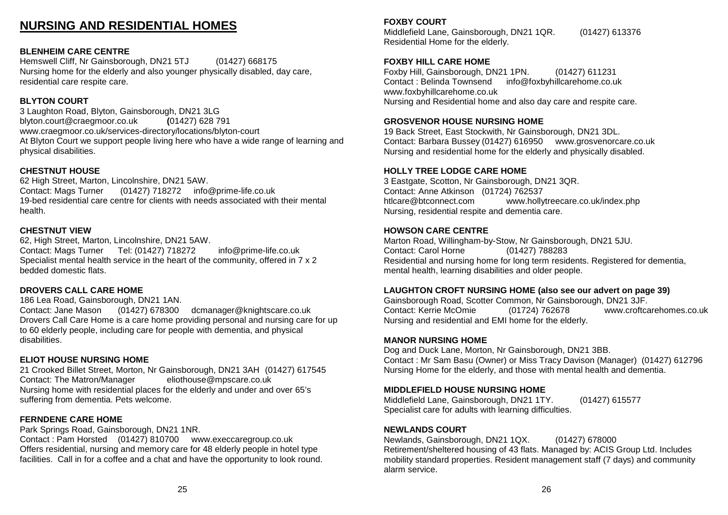#### **NURSING AND RESIDENTIAL HOMES GRENADIER GUARDS ASSOCIATION** condition and redisseming nothing

#### **BLENHEIM CARE CENTRE**

Hemswell Cliff, Nr Gainsborough, DN21 5TJ (01427) 668175 families of Grenadiers that have passed away. We have monthly meetings on the Nursing home for the elderly and also younger physically disabled, day care, residential care respite care.

#### **BLYTON COURT**

3 Laughton Road, Blyton, Gainsborough, DN21 3LG blyton.court@craegmoor.co.uk **(**01427) 628 791 www.craegmoor.co.uk/services-directory/locations/blyton-court At Blyton Court we support people living here who have a wide range of learning and physical disabilities.

#### **CHESTNUT HOUSE** Meets at The Guildhall on Tuesdays, 10am- 2pm (01522) 528886

62 High Street, Marton, Lincolnshire, DN21 5AW. Contact: Mags Turner (01427) 718272 info@prime-life.co.uk 19-bed residential care centre for clients with needs associated with their mental health. health. **If we can see the previous credit history.** 

#### **CHESTNUT VIEW**

62, High Street, Marton, Lincolnshire, DN21 5AW. Contact: Mags Turner Tel: (01427) 718272 info@prime-life.co.uk Specialist mental health service in the heart of the community, offered in 7 x 2 bedded domestic flats.

#### DROVERS CALL CARE HOME

186 Lea Road, Gainsborough, DN21 1AN.

Contact: Jane Mason (01427) 678300 dcmanager@knightscare.co.uk Drovers Call Care Home is a care home providing personal and nursing care for up to 60 elderly people, including care for people with dementia, and physical disabilities. 2091 Bill Thomas – 0794 776816, PCSO 2115 Tracey Burnett – 0794 312682, PCSO 2115 Tracey Burnett – 07939 3126

#### **ELIOT HOUSE NURSING HOME**

21 Crooked Billet Street, Morton, Nr Gainsborough, DN21 3AH (01427) 617545 Contact: The Matron/Manager eliothouse@mpscare.co.uk Nursing home with residential places for the elderly and under and over 65's suffering from dementia. Pets welcome.

#### **FERNDENE CARE HOME MERCURY HOUSE**

Park Springs Road, Gainsborough, DN21 1NR. Contact : Pam Horsted (01427) 810700 www.execcaregroup.co.uk N Offers residential, nursing and memory care for 48 elderly people in hotel type facilities. Call in for a coffee and a chat and have the opportunity to look round.

#### **RESPECTED BURIAL PARK (ALSO SEE ADVERT ON PARK (ALSO SEE ADVERT)**

Middlefield Lane, Gainsborough, DN21 1QR. (01427) 613376 Residential Home for the elderly.

#### **FOXBY HILL CARE HOME FOR THE GROWING GROWING ECO/GROWING ECO/GROWING ECO/GROWING ECO/GROWING ECO/GROWING ECO/G**

Foxby Hill, Gainsborough, DN21 1PN. (01427) 611231 Contact : Belinda Townsend info@foxbyhillcarehome.co.uk www.foxbyhillcarehome.co.uk Nursing and Residential home and also day care and respite care.

#### **GROSVENOR HOUSE NURSING HOME**

Contact: Barbara Bussey (01427) 616950 www.grosvenorcare.co.uk Nursing and residential home for the elderly and physically disabled. 19 Back Street, East Stockwith, Nr Gainsborough, DN21 3DL.

#### **HOLLY TREE LODGE CARE HOME**

3 Eastgate, Scotton, Nr Gainsborough, DN21 3QR. Contact: Anne Atkinson (01724) 762537 htlcare@btconnect.com www.hollytreecare.co.uk/index.php Nursing, residential respite and dementia care.

#### **HOWSON CARE CENTRE**

Contact: Carol Horne (01427) 788283 Residential and nursing home for long term residents. Registered for dementia, mental health, learning disabilities and older people. Marton Road, Willingham-by-Stow, Nr Gainsborough, DN21 5JU.

#### LAUGHTON CROFT NURSING HOME (also see our advert on page 39)

Gainsborough Road, Scotter Common, Nr Gainsborough, DN21 3JF. Contact: Kerrie McOmie (01724) 762678 www.croftcarehomes.co.uk Nursing and residential and EMI home for the elderly.

#### Box Office (01427) 676655 Opening Times- Wednesday to Friday 10am – 2pm, **MANOR NURSING HOME**

Dog and Duck Lane, Morton, Nr Gainsborough, DN21 3BB. Contact : Mr Sam Basu (Owner) or Miss Tracy Davison (Manager) (01427) 612796 Nursing Home for the elderly, and those with mental health and dementia.

#### **MIDDLEFIELD HOUSE NURSING HOME**

Middlefield Lane, Gainsborough, DN21 1TY. (01427) 615577 Specialist care for adults with learning difficulties.

#### (01427) 613470 info@vcswestlindsey.org.uk **NEWLANDS COURT**

Newlands, Gainsborough, DN21 1QX. (01427) 678000 Retirement/sheltered housing of 43 flats. Managed by: ACIS Group Ltd. Includes mobility standard properties. Resident management staff (7 days) and community alarm service.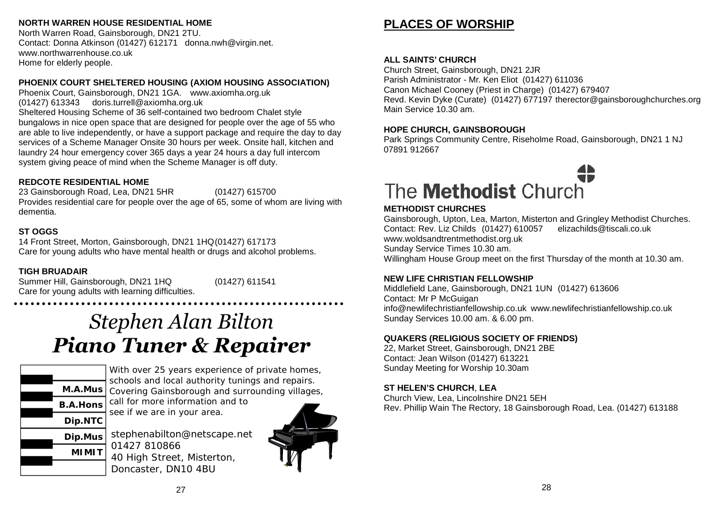#### **NORTH WARREN HOUSE RESIDENTIAL HOME**

North Warren Road, Gainsborough, DN21 2TU. Contact: Donna Atkinson (01427) 612171 donna.nwh@virgin.net. www.northwarrenhouse.co.uk Home for elderly people. The 10:30 am Parish Communication of the 10:30 am Parish Communication (10:30 am Parish Communication) of the 10:30 am Parish Communication (10:30 am Parish Communication) of the 10:30 am Parish Co

### PHOENIX COURT SHELTERED HOUSING (AXIOM HOUSING ASSOCIATION)

Phoenix Court, Gainsborough, DN21 1GA. www.axiomha.org.uk (01427) 613343 doris.turrell@axiomha.org.uk **ST THOMAS' ROMAN CATHOLIC CHURCH** Sheltered Housing Scheme of 36 self-contained two bedroom Chalet style bungalows in nice open space that are designed for people over the age of 55 who are able to live independently, or have a support package and require the day to day services of a Scheme Manager Onsite 30 hours per week. Onsite hall, kitchen and laundry 24 hour emergency cover 365 days a year 24 hours a day full intercom system giving peace of mind when the Scheme Manager is off duty.

## REDCOTE RESIDENTIAL HOME **Supplier 10.000am (includes worship 10.00** am (includes worship) 10.00am (includes worship) 10.00am (includes worship) 10.00am (includes worship) 10.00am (includes worship) 10.00am (includes worsh

23 Gainsborough Road, Lea, DN21 5HR (01427) 615700 Provides residential care for people over the age of 65, some of whom are living with dementia. Wednesday - Ladies Meeting @ 2.00pm

#### **ST OGGS**  $2\sigma$  Saturday in the month - Coffee morning, cake state state state state state state state state state state state state state state state state state state state state state state state state state state state state sta

14 Front Street, Morton, Gainsborough, DN21 1HQ(01427) 617173 Care for young adults who have mental health or drugs and alcohol problems.

## TIGH BRUADAIR

Summer Hill, Gainsborough, DN21 1HQ (01427) 611541 Care for young adults with learning difficulties.

# *Stephen Alan Bilton Piano Tuner & Repairer* and England Church  $cc$ <sub>p</sub> $H$

Sunday service 10.30 am and first Sunday of the month evening meditation at 6.00



With over 25 years experience of private homes. **The Revenue Accept** Schools and local authority tunings and repairs. Covering Gainsborough and surrounding villages, Churches at: Laughton, Pilham, Corringham, East Stockwith, Blyton and

call for more information and to Boles at the seed if we are in your area.

stephenabilton@netscape.net  $\sum_{i=1}^{D|p_{i}|/d}$  01427 810866 MIMIT 40 High Street, Misterton, **19 Gainsborough Road** Doncaster, DN10 4BU



# **PLACES OF WORSHIP**

#### **ALL SAINTS' CHURCH**

Church Street, Gainsborough, DN21 2JR<br>President of the Street, California Correspondence of the Correspondence of the Correspondence of the Correspond Gailon Michael Coolicy (Filest In Onarge) (61427)<br>Royal Kovin Dyke (Curate) (04.497) 677407 theree Revd. Kevin Dyke (Curate) (01427) 677197 therector@gainsboroughchurches.org<br>Main Service 10.30 cm Main Service 10.30 am. Parish Administrator - Mr. Ken Eliot (01427) 611036 Canon Michael Cooney (Priest in Charge) (01427) 679407

# An outstanding local authority nursery school (Ofsted 2012) that offers education for **HOPE CHURCH, GAINSBOROUGH**

nor E crionen, cAlitoBonooch<br>Park Springs Community Centre, Riseholme Road, Gainsborough, DN21 1 NJ **GAPA PLAYGROUP** 07891 912667

# Riseholme Road, Gainsborough DN21 1NL (01427) 617165  $T_{\text{on}}$  Methodist Opportunities to enable children to enable children to enable children to enable children to enable children to enable children to enable children to enable children to enable children to enable childr develop individually and appropriately. Lunch club also available.

#### **METHODIST CHURCHES**

**METHODIOT CHOROHEO**<br>Coinebereugh Linten Lee Merten Mie At Charles Baines Community School, Baines Road, Gainsborough, DN21 1TE. Gainsborough, Upton, Lea, Marton, Misterton and Gringley Methodist Churches. 07917 111363 www.woldsandtrentmethodist.org.uk www.woldsandirenimemodist.org.uk<br>Sunday Service Times 10.30 am. OUHUAY OCHING THINGS TOLOU ANI.<br>Milliambora Houae Crour, moot an the first Thursday of the month of Willingham House Group meet on the first Thursday of the month at 10.30 am. Contact: Rev. Liz Childs (01427) 610057 elizachilds@tiscali.co.uk

#### **REW EIL CHINOTIANT ELLOWOLI NEW LIFE CHRISTIAN FELLOWSHIP**

Middlefield Lane, Gainsborough, DN21 1UN (01427) 613606<br>Cantact: Mr.B.McCuizen Contact: MIT McCulgari info@newlifechristianfellowship.co.uk www.newlifechristianfellowship.co.uk<br>Sunday,Samiase.49.99.am -8.6.99.am Sunday Services 10.00 am. & 6.00 pm. Contact: Mr P McGuigan

# QUAKERS (RELIGIOUS SOCIETY OF FRIENDS)

**RIVERSIDE NURSERY** Contact: Jean Wilson (01427) 613221 Contact: Jean Wilson (OT427) 013221<br>Sunday Meeting for Worship 10.30am 22, Market Street, Gainsborough, DN21 2BE

# **ROPERY DAY NURSERY ST HELEN'S CHURCH**, **LEA**

**GT HEEEN G CHONOH, LEA<br>Church View, Lea, Lincolnshire DN21 5EH** Manager: John Lea, Lincoln Since Palmer (1942)<br>Des Dhillis Mais The Destaura 40 Ceiseannair Dead Lea *(04.4*07) 640400. Rev. Phillip Wain The Rectory, 18 Gainsborough Road, Lea. (01427) 613188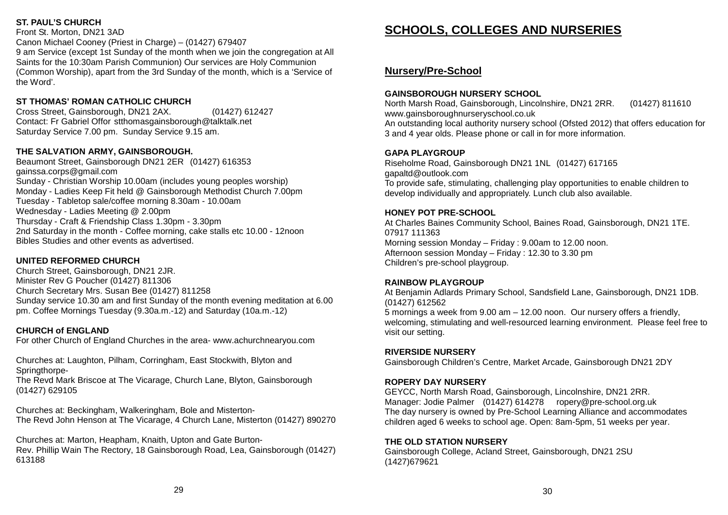#### **ST. PAUL'S CHURCH**

Front St. Morton, DN21 3AD Canon Michael Cooney (Priest in Charge) – (01427) 679407 9 am Service (except 1st Sunday of the month when we join the congregation at All Saints for the 10:30am Parish Communion) Our services are Holy Communion (Common Worship), apart from the 3rd Sunday of the month, which is a 'Service of the Word'. **PHOENIX COURTS SHELTER SHELTER SHELTER SHELTER SHELTER SHELTER SHELTER SHELTER** 

## ST THOMAS' ROMAN CATHOLIC CHURCH

Cross Street, Gainsborough, DN21 2AX. (01427) 612427 Contact: Fr Gabriel Offor stthomasgainsborough@talktalk.net Saturday Service 7.00 pm. Sunday Service 9.15 am.

## THE SALVATION ARMY, GAINSBOROUGH.  $\overline{a}$

Beaumont Street, Gainsborough DN21 2ER (01427) 616353 gainssa.corps@gmail.com Sunday - Christian Worship 10.00am (includes young peoples worship) Monday - Ladies Keep Fit held @ Gainsborough Methodist Church 7.00pm Tuesday - Tabletop sale/coffee morning 8.30am - 10.00am Wednesday - Ladies Meeting @ 2.00pm Thursday - Craft & Friendship Class 1.30pm - 3.30pm 2nd Saturday in the month - Coffee morning, cake stalls etc 10.00 - 12noon Bibles Studies and other events as advertised.

#### **UNITED REFORMED CHURCH**

Church Street, Gainsborough, DN21 2JR. **TIGH BRUADAIR** Minister Rev G Poucher (01427) 811306 Church Secretary Mrs. Susan Bee (01427) 811258 Sunday service 10.30 am and first Sunday of the month evening meditation at 6.00 pm. Coffee Mornings Tuesday (9.30a.m.-12) and Saturday (10a.m.-12) **AND** 

#### **CHURCH of ENGLAND**

For other Church of England Churches in the area- www.achurchnearyou.com<br>**Propellers** 

Churches at: Laughton, Pilham, Corringham, East Stockwith, Blyton and Springthorpe-

The Revd Mark Briscoe at The Vicarage, Church Lane, Blyton, Gainsborough (01427) 629105 **M.A.Mus**

Churches at: Beckingham, Walkeringham, Bole and Misterton- **B.A.Hons** The Revd John Henson at The Vicarage, 4 Church Lane, Misterton (01427) 890270 **Dip.NTC** m, Walkeringham, Bole and Misterto

Churches at: Marton, Heapham, Knaith, Upton and Gate Burton-**Rev. Phillip Wain The Rectory, 18 Gainsborough Road, Lea, Gainsborough (01427)** 613188  $\frac{1}{2}$ ,  $\frac{1}{2}$ ,  $\frac{1}{2}$ ,  $\frac{1}{2}$ ,  $\frac{1}{2}$ ,  $\frac{1}{2}$ ,  $\frac{1}{2}$ ,  $\frac{1}{2}$ ,  $\frac{1}{2}$ ,  $\frac{1}{2}$ ,  $\frac{1}{2}$ ,  $\frac{1}{2}$ ,  $\frac{1}{2}$ ,  $\frac{1}{2}$ ,  $\frac{1}{2}$ ,  $\frac{1}{2}$ ,  $\frac{1}{2}$ ,  $\frac{1}{2}$ ,  $\frac{1}{2}$ ,  $\frac{1}{2}$ ,

# **<u>SCHOOLS, COLLEGES AND NURSERIES</u>**

#### **Nursery/Pre-School** Parish Administrator - Mr. Ken Eliot (01427) 611036

## **GAINSBOROUGH NURSERY SCHOOL**

North Marsh Road, Gainsborough, Lincolnshire, DN21 2RR. (01427) 811610 www.gainsboroughnurseryschool.co.uk 3 and 4 year olds. Please phone or call in for more information. An outstanding local authority nursery school (Ofsted 2012) that offers education for

Park Springs Community Centre, Riseholme Road, Gainsborough, DN21 1 NJ

## **GAPA PLAYGROUP**

Riseholme Road, Gainsborough DN21 1NL (01427) 617165 gapaltd@outlook.com To provide safe, stimulating, challenging play opportunities to enable children to develop individually and appropriately. Lunch club also available.

## **HONEY POT PRE-SCHOOL**

At Charles Baines Community School, Baines Road, Gainsborough, DN21 1TE. 07917 111363 Worning session Monday – Friday : 9.00am to 12.00 noon. Afternoon session Monday – Friday : 12.30 to 3.30 pm William House Group meet on the first Thursday of the month at 10.30 am.<br>Children's pre-school playgroup.

## **RAINBOW PLAYGROUP**

At Benjamin Adlards Primary School, Sandsfield Lane, Gainsborough, DN21 1DB. 1.1 Peripanan Praia as Francis (01427) 612562

5 mornings a week from 9.00 am – 12.00 noon. Our nursery offers a friendly, sunday Services 20.000 am. The 6.000 pm. The community process in the company, welcoming, stimulating and well-resourced learning environment. Please feel free to **QUAKERS (RELIGIOUS SOCIETY OF FRIENDS)** visit our setting.

## 22, Market Street, Gainsborough, DN21 2BE **RIVERSIDE NURSERY**

Contact: Jean Wilson Children's Centre, Market Arcade, Gainsborough DN21 2DY Sunday Meeting for World Forms, while the World for World Street and the set of the United Street and the set of the United Street and the set of the United Street and the United Street and the United Street and the United

#### **ROPERY DAY NURSERY**

**ST HELEN'S CHURCH**, **LEA** GEYCC, North Marsh Road, Gainsborough, Lincolnshire, DN21 2RR. Manager: Jodie Palmer (01427) 614278 ropery@pre-school.org.uk managen coaler almost  $(0.127)$  or three strong processions gives children aged 6 weeks to school age. Open: 8am-5pm, 51 weeks per year.

#### **THE OLD STATION NURSERY**

Gainsborough College, Acland Street, Gainsborough, DN21 2SU (1427)679621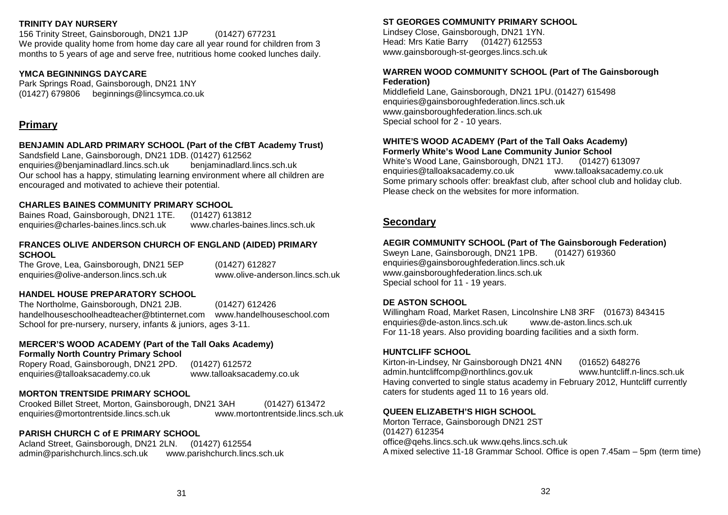#### **TRINITY DAY NURSERY TRENT VALLEY ACADEMY**

156 Trinity Street, Gainsborough, DN21 1JP (01427) 677231 We provide quality home from home day care all year round for children from 3 months to 5 years of age and serve free, nutritious home cooked lunches daily.

## YMCA BEGINNINGS DAYCARE

Park Springs Road, Gainsborough, DN21 1NY (01427) 679806 beginnings@lincsymca.co.uk

#### **Primary**  $\blacksquare$  $P$ rimat $\chi$

#### BENJAMIN ADLARD PRIMARY SCHOOL (Part of the CfBT Academy Trust)

Sandsfield Lane, Gainsborough, DN21 1DB. (01427) 612562 enquiries@benjaminadlard.lincs.sch.uk benjaminadlard.lincs.sch.uk Our school has a happy, stimulating learning environment where all children are encouraged and motivated to achieve their potential.

#### CHARLES BAINES COMMUNITY PRIMARY SCHOOL

Baines Road, Gainsborough, DN21 1TE. (01427) 613812 enquiries@charles-baines.lincs.sch.uk www.charles-baines.lincs.sch.uk

#### **FRANCES OLIVE ANDERSON CHURCH OF ENGLAND (AIDED) PRIMARY SCHOOL** FRANCES OLIVE ANDERSON CHURCH OF ENGLAND (AIDI encurries and the college of the college. According to the college of the college of the college of the college. According to the college of the college of the college of the college of the college of the college of the co

The Grove, Lea, Gainsborough, DN21 5EP  $\hskip1cm (01427)$  612827 enquiries@olive-anderson.lincs.sch.uk www.olive-anderson.lincs.sch.uk

#### **HANDEL HOUSE PREPARATORY SCHOOL NORTH LINDSEY COLLEGE**

The Northolme, Gainsborough, DN21 2JB. (01427) 612426 handelhouseschoolheadteacher@btinternet.com www.handelhouseschool.com School for pre-nursery, nursery, infants & juniors, ages 3-11.

#### **MERCER'S WOOD ACADEMY (Part of the Tall Oaks Academy) form provisions- Formally North Country Primary School**

Ropery Road, Gainsborough, DN21 2PD. (01427) 612572 enquiries@talloaksacademy.co.uk www.talloaksacademy.co.uk **DE ASTON SCHOOL**

#### **MORTON TRENTSIDE PRIMARY SCHOOL TRENT VALLEY ACADEMY**

Crooked Billet Street, Morton, Gainsborough, DN21 3AH (01427) 613472 enquiries@mortontrentside.lincs.sch.uk

#### **PARISH CHURCH C of E PRIMARY SCHOOL**

Acland Street, Gainsborough, DN21 2LN. (01427) 612554 admin@parishchurch.lincs.sch.uk www.parishchurch.lincs.sch.uk

#### **ST GEORGES COMMUNITY PRIMARY SCHOOL**

Lindsey Close, Gainsborough, DN21 1YN. www.gainsborough-st-georges.lincs.sch.uk Head: Mrs Katie Barry (01427) 612553

#### **WARREN WOOD COMMUNITY SCHOOL (Part of The Gainsborough** ation)<br>ation) **Federation)**

Middlefield Lane, Gainsborough, DN21 1PU. (01427) 615498 enquiries@gainsboroughfederation.lincs.sch.uk www.gainsboroughfederation.lincs.sch.uk<br>Special asbeel far 2 – 40 veers  $\lambda$ lcoholicis Anonymous. Special school for 2 - 10 years.

#### WHITE'S WOOD ACADEMY (Part of the Tall Oaks Academy) **Formerly White's Wood Lane Community Junior School**

White's Wood Lane, Gainsborough, DN21 1TJ. (01427) 613097 enquiries@tailoaksacademy.co.uk www.tailoaksacademy.co.uk<br>Some primary schools offer: breakfast club, after school club and holiday club. Bonne primary schools oner. Dreakfast club, arter school club and nollday club.<br>Please check on the websites for more information. Blyton Court 25 enquiries@talloaksacademy.co.uk www.talloaksacademy.co.uk

#### and a structure  $\mathbf{R}$  is the East of the East of the East of the East of the East of the East of the East of the East of the East of the East of the East of the East of the East of the East of the East of the East of th **Secondary**

#### Carer's and Toddlers Lunches 8 AEGIR COMMUNITY SCHOOL (Part of The Gainsborough Federation)<br>Curry Lare, Cainsborough, DN94,4DD

Sweyn Lane, Gainsborough, DN2T TPD. (01427) 019500<br>enquiries@gainsboroughfederation.lincs.sch.uk enquines Bayances Pregnies Primary School 31<br>www.gainsboroughfederation.lincs.sch.uk Special school for 11 - 19 years. Sweyn Lane, Gainsborough, DN21 1PB. (01427) 619360

#### Chestnut View 25 (2002)<br>Chestnut View 25 (2003)<br>Chestnut View 25 (2003) **DE ASTON SCHOOL**

STON SCHOOL<br>share Baad, Masket Baase, Lingaleabira LNA OBE - (04.079), 949.445 Children's Links 8 Willingham Road, Market Rasen, Lincolnshire LN8 3RF (01673) 843415 enquinee S as accommodition in the District and District 22 and Aid Gainsborough For 11-18 years. Also providing boarding facilities and a sixth form. Church of England (surrounding villages) 29 enquiries@de-aston.lincs.sch.uk www.de-aston.lincs.sch.uk

#### **HUNTCLIFF SCHOOL**

Kirton-in-Lindsey, Nr Gainsborough DN21 4NN (01652) 648276<br>salmin-buntaliff same@easthlines.com/us admin.manicim.comp@norminics.gov.ak<br>Having converted to single status academy in February 2012, Huntcliff currently rating converted to emgle etable accusemy in February 2012, Hamelin carreinty<br>caters for students aged 11 to 16 years old. County Hospital Lincoln 14 admin.huntcliffcomp@northlincs.gov.uk www.huntcliff.n-lincs.sch.uk

#### **QUEEN ELIZABETH'S HIGH SCHOOL**

Morton Terrace, Gainsborough DN21 2ST<br>(04.497) 64.995.4 الاحدار المحمد) office@qehs.lincs.sch.uk www.qehs.lincs.sch.uk emee Sqeneilineereen is a muniqeneillineereen is.<br>A mixed selective 11-18 Grammar School. Office is open 7.45am – 5pm (term time) Disability Network West Lindsey 17 (01427) 612354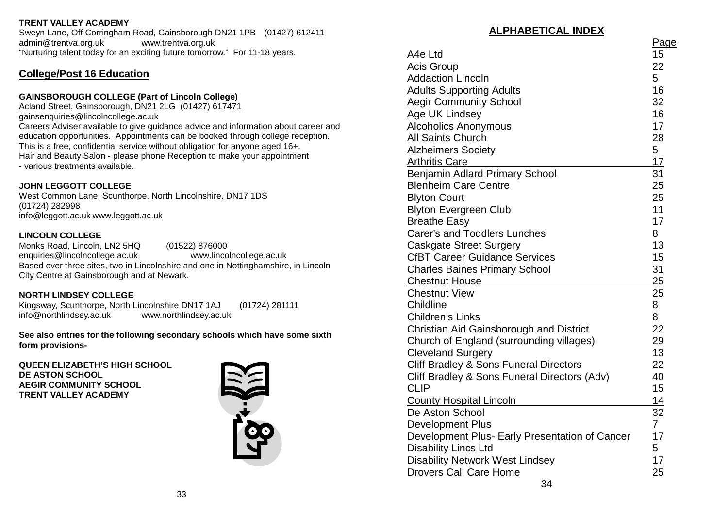**TRENT VALLEY ACADEMY TRINITY DAY NURSERY**

admin@trentva.org.uk www.trentva.org.uk

**College/Post 16 Education** 

education opportunities. Appointments can be booked through college reception. This is a free, confidential service without obligation for anyone aged 16+. Hair and Beauty Salon - please phone Reception to make your appointment - various treatments available.<br>
about be not be not been also been also been also been also been also been also been also been also been also

"Nurturing talent today for an exciting future tomorrow." For 11-18 years.

Sweyn Lane, Off Corringham Road, Gainsborough DN21 1PB (01427) 612411

admin@trentva.org.uk www.trentva.org.uk "Nurturing talent today for an exciting future tomorrow." For 11-18 years.

#### **JOHN LEGGOTT COLLEGE**

West Common Lane, Scunthorpe, North Lincolnshire, DN17 1DS (01724) 282998 **CHARLES BAINES COMMUNITY PRIMARY SCHOOL** info@leggott.ac.uk www.leggott.ac.uk

GAINSBOROUGH COLLEGE (Part of Lincoln College) Acland Street, Gainsborough, DN21 2LG (01427) 617471

#### **LINCOLN COLLEGE**

Monks Road, Lincoln, LN2 5HQ (01522) 876000 **FRANCES OLIVE ANDERSON CHURCH OF ENGLAND (AIDED) PRIMARY** enquiries@lincolncollege.ac.uk www.lincolncollege.ac.uk **SCHOOL** Based over three sites, two in Lincolnshire and one in Nottinghamshire, in Lincoln City Centre at Gainsborough and at Newark.

#### **NORTH LINDSEY COLLEGE**

Kingsway, Scunthorpe, North Lincolnshire DN17 1AJ (01724) 281111 info@northlindsey.ac.uk www.northlindsey.ac.uk

**See also entries for the following secondary schools which have some sixth**  ${\bf A}$  **form provisions-**  ${\bf A}$  works are all  ${\bf A}$  works and  ${\bf B}$  and  ${\bf B}$  are all  ${\bf B}$  and  ${\bf B}$ 

**QUEEN ELIZABETH'S HIGH SCHOOL** encurries and the set of the set of the set of the set of the set of the set of the set of the set of the set of the set of the set of the set of the set of the set of the set of the set of the set of the set of the set of **AEGIR COMMUNITY SCHOOL TRENT VALLEY ACADEMY** 



|                                                | Page                                                                                                                                                                                                                                                                                                                                                                                                                                                                                                                                                                                                                                                                                                                                                                                                                                                                            |
|------------------------------------------------|---------------------------------------------------------------------------------------------------------------------------------------------------------------------------------------------------------------------------------------------------------------------------------------------------------------------------------------------------------------------------------------------------------------------------------------------------------------------------------------------------------------------------------------------------------------------------------------------------------------------------------------------------------------------------------------------------------------------------------------------------------------------------------------------------------------------------------------------------------------------------------|
|                                                | 15                                                                                                                                                                                                                                                                                                                                                                                                                                                                                                                                                                                                                                                                                                                                                                                                                                                                              |
|                                                | 22                                                                                                                                                                                                                                                                                                                                                                                                                                                                                                                                                                                                                                                                                                                                                                                                                                                                              |
|                                                | 5                                                                                                                                                                                                                                                                                                                                                                                                                                                                                                                                                                                                                                                                                                                                                                                                                                                                               |
|                                                | 16                                                                                                                                                                                                                                                                                                                                                                                                                                                                                                                                                                                                                                                                                                                                                                                                                                                                              |
|                                                | 32                                                                                                                                                                                                                                                                                                                                                                                                                                                                                                                                                                                                                                                                                                                                                                                                                                                                              |
|                                                | 16                                                                                                                                                                                                                                                                                                                                                                                                                                                                                                                                                                                                                                                                                                                                                                                                                                                                              |
|                                                | 17                                                                                                                                                                                                                                                                                                                                                                                                                                                                                                                                                                                                                                                                                                                                                                                                                                                                              |
|                                                | 28                                                                                                                                                                                                                                                                                                                                                                                                                                                                                                                                                                                                                                                                                                                                                                                                                                                                              |
|                                                | 5                                                                                                                                                                                                                                                                                                                                                                                                                                                                                                                                                                                                                                                                                                                                                                                                                                                                               |
|                                                | 17                                                                                                                                                                                                                                                                                                                                                                                                                                                                                                                                                                                                                                                                                                                                                                                                                                                                              |
|                                                | 31                                                                                                                                                                                                                                                                                                                                                                                                                                                                                                                                                                                                                                                                                                                                                                                                                                                                              |
|                                                | 25                                                                                                                                                                                                                                                                                                                                                                                                                                                                                                                                                                                                                                                                                                                                                                                                                                                                              |
|                                                | 25                                                                                                                                                                                                                                                                                                                                                                                                                                                                                                                                                                                                                                                                                                                                                                                                                                                                              |
|                                                | 11                                                                                                                                                                                                                                                                                                                                                                                                                                                                                                                                                                                                                                                                                                                                                                                                                                                                              |
|                                                | 17                                                                                                                                                                                                                                                                                                                                                                                                                                                                                                                                                                                                                                                                                                                                                                                                                                                                              |
|                                                | 8                                                                                                                                                                                                                                                                                                                                                                                                                                                                                                                                                                                                                                                                                                                                                                                                                                                                               |
|                                                | 13                                                                                                                                                                                                                                                                                                                                                                                                                                                                                                                                                                                                                                                                                                                                                                                                                                                                              |
|                                                | 15                                                                                                                                                                                                                                                                                                                                                                                                                                                                                                                                                                                                                                                                                                                                                                                                                                                                              |
| <b>Charles Baines Primary School</b>           | 31                                                                                                                                                                                                                                                                                                                                                                                                                                                                                                                                                                                                                                                                                                                                                                                                                                                                              |
| <b>Chestnut House</b>                          | 25                                                                                                                                                                                                                                                                                                                                                                                                                                                                                                                                                                                                                                                                                                                                                                                                                                                                              |
|                                                | 25                                                                                                                                                                                                                                                                                                                                                                                                                                                                                                                                                                                                                                                                                                                                                                                                                                                                              |
|                                                | 8                                                                                                                                                                                                                                                                                                                                                                                                                                                                                                                                                                                                                                                                                                                                                                                                                                                                               |
| <b>Children's Links</b>                        | 8                                                                                                                                                                                                                                                                                                                                                                                                                                                                                                                                                                                                                                                                                                                                                                                                                                                                               |
|                                                | 22                                                                                                                                                                                                                                                                                                                                                                                                                                                                                                                                                                                                                                                                                                                                                                                                                                                                              |
|                                                | 29                                                                                                                                                                                                                                                                                                                                                                                                                                                                                                                                                                                                                                                                                                                                                                                                                                                                              |
|                                                | 13                                                                                                                                                                                                                                                                                                                                                                                                                                                                                                                                                                                                                                                                                                                                                                                                                                                                              |
|                                                | 22                                                                                                                                                                                                                                                                                                                                                                                                                                                                                                                                                                                                                                                                                                                                                                                                                                                                              |
|                                                | 40                                                                                                                                                                                                                                                                                                                                                                                                                                                                                                                                                                                                                                                                                                                                                                                                                                                                              |
|                                                | 15                                                                                                                                                                                                                                                                                                                                                                                                                                                                                                                                                                                                                                                                                                                                                                                                                                                                              |
|                                                | 14                                                                                                                                                                                                                                                                                                                                                                                                                                                                                                                                                                                                                                                                                                                                                                                                                                                                              |
|                                                | 32                                                                                                                                                                                                                                                                                                                                                                                                                                                                                                                                                                                                                                                                                                                                                                                                                                                                              |
| <b>Development Plus</b>                        | $\overline{7}$                                                                                                                                                                                                                                                                                                                                                                                                                                                                                                                                                                                                                                                                                                                                                                                                                                                                  |
| Development Plus- Early Presentation of Cancer | 17                                                                                                                                                                                                                                                                                                                                                                                                                                                                                                                                                                                                                                                                                                                                                                                                                                                                              |
| <b>Disability Lincs Ltd</b>                    | 5                                                                                                                                                                                                                                                                                                                                                                                                                                                                                                                                                                                                                                                                                                                                                                                                                                                                               |
| <b>Disability Network West Lindsey</b>         | 17                                                                                                                                                                                                                                                                                                                                                                                                                                                                                                                                                                                                                                                                                                                                                                                                                                                                              |
|                                                | 25                                                                                                                                                                                                                                                                                                                                                                                                                                                                                                                                                                                                                                                                                                                                                                                                                                                                              |
|                                                | A4e Ltd<br><b>Acis Group</b><br><b>Addaction Lincoln</b><br><b>Adults Supporting Adults</b><br><b>Aegir Community School</b><br>Age UK Lindsey<br><b>Alcoholics Anonymous</b><br>All Saints Church<br><b>Alzheimers Society</b><br><b>Arthritis Care</b><br>Benjamin Adlard Primary School<br><b>Blenheim Care Centre</b><br><b>Blyton Court</b><br><b>Blyton Evergreen Club</b><br><b>Breathe Easy</b><br><b>Carer's and Toddlers Lunches</b><br><b>Caskgate Street Surgery</b><br><b>CfBT Career Guidance Services</b><br><b>Chestnut View</b><br>Childline<br>Christian Aid Gainsborough and District<br>Church of England (surrounding villages)<br><b>Cleveland Surgery</b><br>Cliff Bradley & Sons Funeral Directors<br>Cliff Bradley & Sons Funeral Directors (Adv)<br><b>CLIP</b><br><b>County Hospital Lincoln</b><br>De Aston School<br><b>Drovers Call Care Home</b> |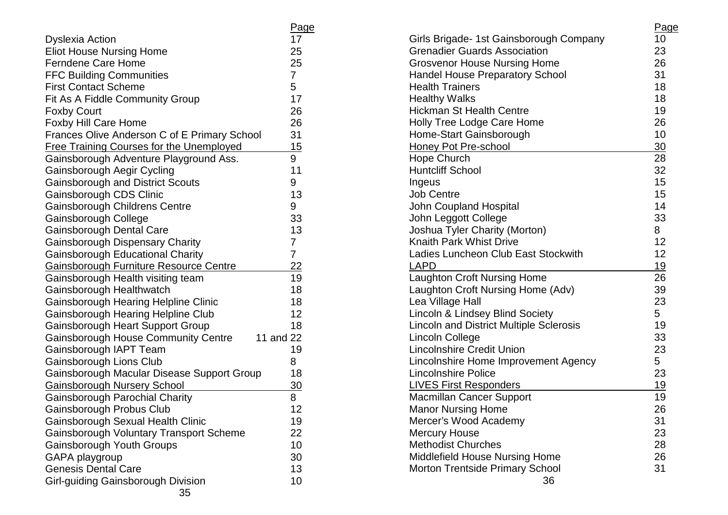|                                                  | <u>Page</u>    |
|--------------------------------------------------|----------------|
| <b>Dyslexia Action</b>                           | 17             |
| <b>Eliot House Nursing Home</b>                  | 25             |
| <b>Ferndene Care Home</b>                        | 25             |
| <b>FFC Building Communities</b>                  | $\overline{7}$ |
| <b>First Contact Scheme</b>                      | 5              |
| Fit As A Fiddle Community Group                  | 17             |
| <b>Foxby Court</b>                               | 26             |
| <b>Foxby Hill Care Home</b>                      | 26             |
| Frances Olive Anderson C of E Primary School     | 31             |
| <b>Free Training Courses for the Unemployed</b>  | 15             |
| Gainsborough Adventure Playground Ass.           | 9              |
| Gainsborough Aegir Cycling                       | 11             |
| <b>Gainsborough and District Scouts</b>          | 9              |
| Gainsborough CDS Clinic                          | 13             |
| Gainsborough Childrens Centre                    | 9              |
| Gainsborough College                             | 33             |
| Gainsborough Dental Care                         | 13             |
| <b>Gainsborough Dispensary Charity</b>           | 7              |
| <b>Gainsborough Educational Charity</b>          | 7              |
| <b>Gainsborough Furniture Resource Centre</b>    | 22             |
| Gainsborough Health visiting team                | 19             |
| Gainsborough Healthwatch                         | 18             |
| <b>Gainsborough Hearing Helpline Clinic</b>      | 18             |
| <b>Gainsborough Hearing Helpline Club</b>        | 12             |
| <b>Gainsborough Heart Support Group</b>          | 18             |
| Gainsborough House Community Centre<br>11 and 22 |                |
| Gainsborough IAPT Team                           | 19             |
| Gainsborough Lions Club                          | 8              |
| Gainsborough Macular Disease Support Group       | 18             |
| <b>Gainsborough Nursery School</b>               | 30             |
| Gainsborough Parochial Charity                   | 8              |
| Gainsborough Probus Club                         | 12             |
| Gainsborough Sexual Health Clinic                | 19             |
| <b>Gainsborough Voluntary Transport Scheme</b>   | 22             |
| Gainsborough Youth Groups                        | 10             |
| GAPA playgroup                                   | 30             |
| <b>Genesis Dental Care</b>                       | 13             |
| Girl-guiding Gainsborough Division<br>つに         | 10             |

|                                                | <u>Page</u> |
|------------------------------------------------|-------------|
| Girls Brigade- 1st Gainsborough Company        | 10          |
| <b>Grenadier Guards Association</b>            | 23          |
| <b>Grosvenor House Nursing Home</b>            | 26          |
| <b>Handel House Preparatory School</b>         | 31          |
| <b>Health Trainers</b>                         | 18          |
| <b>Healthy Walks</b>                           | 18          |
| <b>Hickman St Health Centre</b>                | 19          |
| <b>Holly Tree Lodge Care Home</b>              | 26          |
| Home-Start Gainsborough                        | 10          |
| Honey Pot Pre-school                           | 30          |
| <b>Hope Church</b>                             | 28          |
| <b>Huntcliff School</b>                        | 32          |
| Ingeus                                         | 15          |
| <b>Job Centre</b>                              | 15          |
| John Coupland Hospital                         | 14          |
| John Leggott College                           | 33          |
| Joshua Tyler Charity (Morton)                  | 8           |
| <b>Knaith Park Whist Drive</b>                 | 12          |
| <b>Ladies Luncheon Club East Stockwith</b>     | 12          |
| <u>LAPD</u>                                    | <u>19</u>   |
| Laughton Croft Nursing Home                    | 26          |
| Laughton Croft Nursing Home (Adv)              | 39          |
| Lea Village Hall                               | 23          |
| Lincoln & Lindsey Blind Society                | 5           |
| <b>Lincoln and District Multiple Sclerosis</b> | 19          |
| Lincoln College                                | 33          |
| <b>Lincolnshire Credit Union</b>               | 23          |
| Lincolnshire Home Improvement Agency           | 5           |
| <b>Lincolnshire Police</b>                     | 23          |
| <b>LIVES First Responders</b>                  | 19          |
| <b>Macmillan Cancer Support</b>                | 19          |
| <b>Manor Nursing Home</b>                      | 26          |
| Mercer's Wood Academy                          | 31          |
| <b>Mercury House</b>                           | 23          |
| <b>Methodist Churches</b>                      | 28          |
| <b>Middlefield House Nursing Home</b>          | 26          |
| <b>Morton Trentside Primary School</b>         | 31          |
| 36                                             |             |
|                                                |             |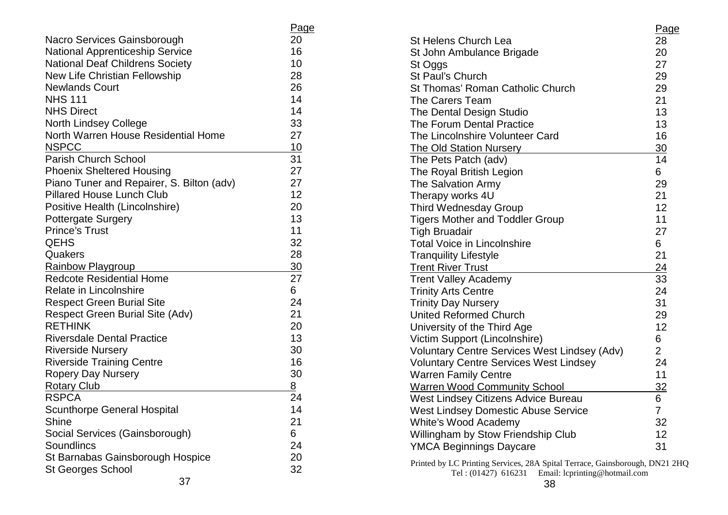| Nacro Services Gainsborough               | <u>Page</u><br>20 |
|-------------------------------------------|-------------------|
| <b>National Apprenticeship Service</b>    | 16                |
| <b>National Deaf Childrens Society</b>    | 10                |
| New Life Christian Fellowship             | 28                |
| <b>Newlands Court</b>                     | 26                |
| <b>NHS 111</b>                            | 14                |
| <b>NHS Direct</b>                         | 14                |
| <b>North Lindsey College</b>              | 33                |
| North Warren House Residential Home       | 27                |
| <b>NSPCC</b>                              | 10                |
| Parish Church School                      | 31                |
| <b>Phoenix Sheltered Housing</b>          | 27                |
| Piano Tuner and Repairer, S. Bilton (adv) | 27                |
| <b>Pillared House Lunch Club</b>          | 12                |
| Positive Health (Lincolnshire)            | 20                |
| <b>Pottergate Surgery</b>                 | 13                |
| <b>Prince's Trust</b>                     | 11                |
| <b>QEHS</b>                               | 32                |
| Quakers                                   | 28                |
| Rainbow Playgroup                         | 30                |
| <b>Redcote Residential Home</b>           | 27                |
| <b>Relate in Lincolnshire</b>             | 6                 |
| <b>Respect Green Burial Site</b>          | 24                |
| <b>Respect Green Burial Site (Adv)</b>    | 21                |
| <b>RETHINK</b>                            | 20                |
| <b>Riversdale Dental Practice</b>         | 13                |
| <b>Riverside Nursery</b>                  | 30                |
| <b>Riverside Training Centre</b>          | 16                |
| <b>Ropery Day Nursery</b>                 | 30                |
| <b>Rotary Club</b>                        | 8                 |
| <b>RSPCA</b>                              | 24                |
| <b>Scunthorpe General Hospital</b>        | 14                |
| Shine                                     | 21                |
| Social Services (Gainsborough)            | 6                 |
| Soundlincs                                | 24                |
| St Barnabas Gainsborough Hospice          | 20                |
| <b>St Georges School</b>                  | 32                |
| 37                                        |                   |

|                                                                                                                                           | Page           |
|-------------------------------------------------------------------------------------------------------------------------------------------|----------------|
| <b>St Helens Church Lea</b>                                                                                                               | 28             |
| St John Ambulance Brigade                                                                                                                 | 20             |
| St Oggs                                                                                                                                   | 27             |
| St Paul's Church                                                                                                                          | 29             |
| St Thomas' Roman Catholic Church                                                                                                          | 29             |
| The Carers Team                                                                                                                           | 21             |
| The Dental Design Studio                                                                                                                  | 13             |
| The Forum Dental Practice                                                                                                                 | 13             |
| The Lincolnshire Volunteer Card                                                                                                           | 16             |
| <b>The Old Station Nursery</b>                                                                                                            | 30             |
| The Pets Patch (adv)                                                                                                                      | 14             |
| The Royal British Legion                                                                                                                  | 6              |
| The Salvation Army                                                                                                                        | 29             |
| Therapy works 4U                                                                                                                          | 21             |
| <b>Third Wednesday Group</b>                                                                                                              | 12             |
| <b>Tigers Mother and Toddler Group</b>                                                                                                    | 11             |
| <b>Tigh Bruadair</b>                                                                                                                      | 27             |
| <b>Total Voice in Lincolnshire</b>                                                                                                        | 6              |
| <b>Tranquility Lifestyle</b>                                                                                                              | 21             |
| <b>Trent River Trust</b>                                                                                                                  | 24             |
| <b>Trent Valley Academy</b>                                                                                                               | 33             |
| <b>Trinity Arts Centre</b>                                                                                                                | 24             |
| <b>Trinity Day Nursery</b>                                                                                                                | 31             |
| <b>United Reformed Church</b>                                                                                                             | 29             |
| University of the Third Age                                                                                                               | 12             |
| Victim Support (Lincolnshire)                                                                                                             | 6              |
| <b>Voluntary Centre Services West Lindsey (Adv)</b>                                                                                       | $\overline{2}$ |
| <b>Voluntary Centre Services West Lindsey</b>                                                                                             | 24             |
| <b>Warren Family Centre</b>                                                                                                               | 11             |
| <b>Warren Wood Community School</b>                                                                                                       | 32             |
| West Lindsey Citizens Advice Bureau                                                                                                       | 6              |
| <b>West Lindsey Domestic Abuse Service</b>                                                                                                | $\overline{7}$ |
| White's Wood Academy                                                                                                                      | 32             |
| Willingham by Stow Friendship Club                                                                                                        | 12             |
| <b>YMCA Beginnings Daycare</b>                                                                                                            | 31             |
| Printed by LC Printing Services, 28A Spital Terrace, Gainsborough, DN21 2HQ<br>Email: lcprinting@hotmail.com<br>Tel: (01427) 616231<br>38 |                |